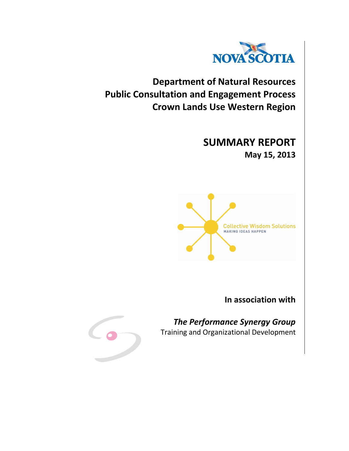

**Department of Natural Resources Public Consultation and Engagement Process Crown Lands Use Western Region**

> **SUMMARY REPORT May 15, 2013**



**In association with**



*The Performance Synergy Group* Training and Organizational Development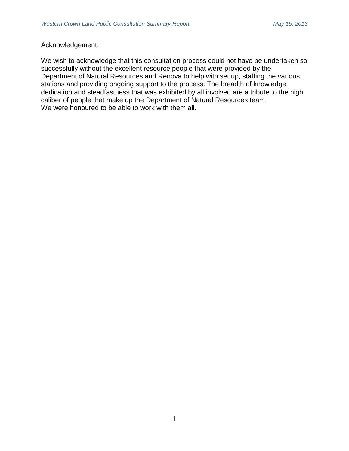# Acknowledgement:

We wish to acknowledge that this consultation process could not have be undertaken so successfully without the excellent resource people that were provided by the Department of Natural Resources and Renova to help with set up, staffing the various stations and providing ongoing support to the process. The breadth of knowledge, dedication and steadfastness that was exhibited by all involved are a tribute to the high caliber of people that make up the Department of Natural Resources team. We were honoured to be able to work with them all.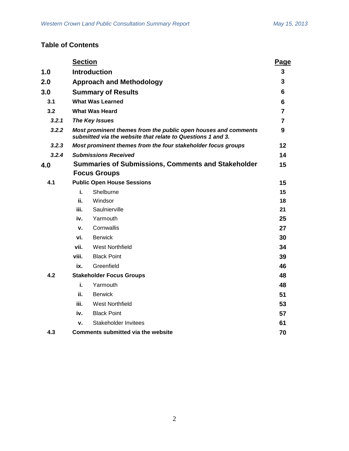# **Table of Contents**

|       | <b>Section</b>                                                                                                                |                                           | Page           |
|-------|-------------------------------------------------------------------------------------------------------------------------------|-------------------------------------------|----------------|
| 1.0   | <b>Introduction</b>                                                                                                           |                                           | 3              |
| 2.0   | <b>Approach and Methodology</b>                                                                                               |                                           |                |
| 3.0   | <b>Summary of Results</b>                                                                                                     |                                           | 6              |
| 3.1   | <b>What Was Learned</b>                                                                                                       |                                           | 6              |
| 3.2   | <b>What Was Heard</b>                                                                                                         |                                           | $\overline{7}$ |
| 3.2.1 | <b>The Key Issues</b>                                                                                                         |                                           | 7              |
| 3.2.2 | Most prominent themes from the public open houses and comments<br>submitted via the website that relate to Questions 1 and 3. |                                           | 9              |
| 3.2.3 | Most prominent themes from the four stakeholder focus groups                                                                  |                                           | 12             |
| 3.2.4 |                                                                                                                               | <b>Submissions Received</b>               | 14             |
| 4.0   | <b>Summaries of Submissions, Comments and Stakeholder</b>                                                                     |                                           | 15             |
|       |                                                                                                                               | <b>Focus Groups</b>                       |                |
| 4.1   | <b>Public Open House Sessions</b>                                                                                             |                                           | 15             |
|       | i.                                                                                                                            | Shelburne                                 | 15             |
|       | ii.                                                                                                                           | Windsor                                   | 18             |
|       | iii.                                                                                                                          | Saulnierville                             | 21             |
|       | iv.                                                                                                                           | Yarmouth                                  | 25             |
|       | v.                                                                                                                            | Cornwallis                                | 27             |
|       | vi.                                                                                                                           | <b>Berwick</b>                            | 30             |
|       | vii.                                                                                                                          | <b>West Northfield</b>                    | 34             |
|       | viii.                                                                                                                         | <b>Black Point</b>                        | 39             |
|       | ix.                                                                                                                           | Greenfield                                | 46             |
| 4.2   | <b>Stakeholder Focus Groups</b>                                                                                               |                                           |                |
|       | i.                                                                                                                            | Yarmouth                                  | 48             |
|       | ii.                                                                                                                           | <b>Berwick</b>                            | 51             |
|       | iii.                                                                                                                          | West Northfield                           | 53             |
|       | iv.                                                                                                                           | <b>Black Point</b>                        | 57             |
|       | v.                                                                                                                            | Stakeholder Invitees                      | 61             |
| 4.3   |                                                                                                                               | <b>Comments submitted via the website</b> | 70             |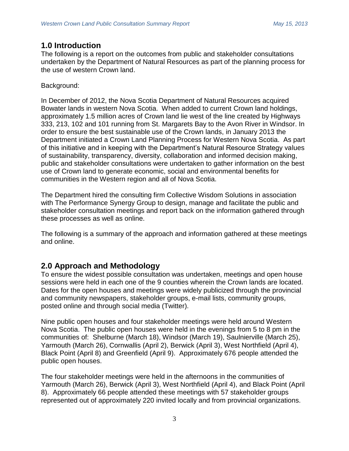# **1.0 Introduction**

The following is a report on the outcomes from public and stakeholder consultations undertaken by the Department of Natural Resources as part of the planning process for the use of western Crown land.

# Background:

In December of 2012, the Nova Scotia Department of Natural Resources acquired Bowater lands in western Nova Scotia. When added to current Crown land holdings, approximately 1.5 million acres of Crown land lie west of the line created by Highways 333, 213, 102 and 101 running from St. Margarets Bay to the Avon River in Windsor. In order to ensure the best sustainable use of the Crown lands, in January 2013 the Department initiated a Crown Land Planning Process for Western Nova Scotia. As part of this initiative and in keeping with the Department's Natural Resource Strategy values of sustainability, transparency, diversity, collaboration and informed decision making, public and stakeholder consultations were undertaken to gather information on the best use of Crown land to generate economic, social and environmental benefits for communities in the Western region and all of Nova Scotia.

The Department hired the consulting firm Collective Wisdom Solutions in association with The Performance Synergy Group to design, manage and facilitate the public and stakeholder consultation meetings and report back on the information gathered through these processes as well as online.

The following is a summary of the approach and information gathered at these meetings and online.

# **2.0 Approach and Methodology**

To ensure the widest possible consultation was undertaken, meetings and open house sessions were held in each one of the 9 counties wherein the Crown lands are located. Dates for the open houses and meetings were widely publicized through the provincial and community newspapers, stakeholder groups, e-mail lists, community groups, posted online and through social media (Twitter).

Nine public open houses and four stakeholder meetings were held around Western Nova Scotia. The public open houses were held in the evenings from 5 to 8 pm in the communities of: Shelburne (March 18), Windsor (March 19), Saulnierville (March 25), Yarmouth (March 26), Cornwallis (April 2), Berwick (April 3), West Northfield (April 4), Black Point (April 8) and Greenfield (April 9). Approximately 676 people attended the public open houses.

The four stakeholder meetings were held in the afternoons in the communities of Yarmouth (March 26), Berwick (April 3), West Northfield (April 4), and Black Point (April 8). Approximately 66 people attended these meetings with 57 stakeholder groups represented out of approximately 220 invited locally and from provincial organizations.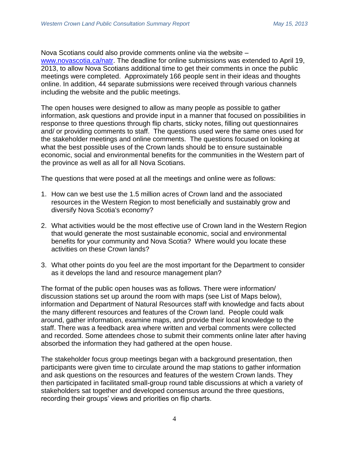Nova Scotians could also provide comments online via the website – [www.novascotia.ca/natr.](http://www.novascotia.ca/natr) The deadline for online submissions was extended to April 19, 2013, to allow Nova Scotians additional time to get their comments in once the public meetings were completed. Approximately 166 people sent in their ideas and thoughts online. In addition, 44 separate submissions were received through various channels including the website and the public meetings.

The open houses were designed to allow as many people as possible to gather information, ask questions and provide input in a manner that focused on possibilities in response to three questions through flip charts, sticky notes, filling out questionnaires and/ or providing comments to staff. The questions used were the same ones used for the stakeholder meetings and online comments. The questions focused on looking at what the best possible uses of the Crown lands should be to ensure sustainable economic, social and environmental benefits for the communities in the Western part of the province as well as all for all Nova Scotians.

The questions that were posed at all the meetings and online were as follows:

- 1. How can we best use the 1.5 million acres of Crown land and the associated resources in the Western Region to most beneficially and sustainably grow and diversify Nova Scotia's economy?
- 2. What activities would be the most effective use of Crown land in the Western Region that would generate the most sustainable economic, social and environmental benefits for your community and Nova Scotia? Where would you locate these activities on these Crown lands?
- 3. What other points do you feel are the most important for the Department to consider as it develops the land and resource management plan?

The format of the public open houses was as follows. There were information/ discussion stations set up around the room with maps (see List of Maps below), information and Department of Natural Resources staff with knowledge and facts about the many different resources and features of the Crown land. People could walk around, gather information, examine maps, and provide their local knowledge to the staff. There was a feedback area where written and verbal comments were collected and recorded. Some attendees chose to submit their comments online later after having absorbed the information they had gathered at the open house.

The stakeholder focus group meetings began with a background presentation, then participants were given time to circulate around the map stations to gather information and ask questions on the resources and features of the western Crown lands. They then participated in facilitated small-group round table discussions at which a variety of stakeholders sat together and developed consensus around the three questions, recording their groups' views and priorities on flip charts.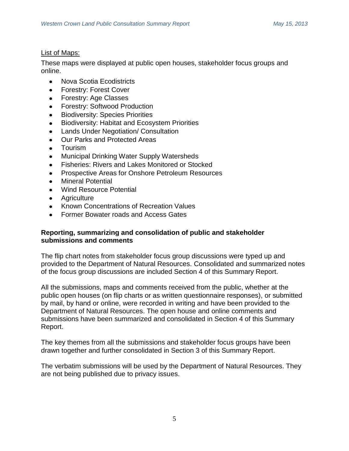# List of Maps:

These maps were displayed at public open houses, stakeholder focus groups and online.

- Nova Scotia Ecodistricts  $\bullet$
- Forestry: Forest Cover
- Forestry: Age Classes
- Forestry: Softwood Production
- Biodiversity: Species Priorities
- Biodiversity: Habitat and Ecosystem Priorities
- Lands Under Negotiation/ Consultation
- Our Parks and Protected Areas
- Tourism  $\bullet$
- Municipal Drinking Water Supply Watersheds
- Fisheries: Rivers and Lakes Monitored or Stocked
- Prospective Areas for Onshore Petroleum Resources
- Mineral Potential
- Wind Resource Potential
- Agriculture
- Known Concentrations of Recreation Values
- Former Bowater roads and Access Gates

# **Reporting, summarizing and consolidation of public and stakeholder submissions and comments**

The flip chart notes from stakeholder focus group discussions were typed up and provided to the Department of Natural Resources. Consolidated and summarized notes of the focus group discussions are included Section 4 of this Summary Report.

All the submissions, maps and comments received from the public, whether at the public open houses (on flip charts or as written questionnaire responses), or submitted by mail, by hand or online, were recorded in writing and have been provided to the Department of Natural Resources. The open house and online comments and submissions have been summarized and consolidated in Section 4 of this Summary Report.

The key themes from all the submissions and stakeholder focus groups have been drawn together and further consolidated in Section 3 of this Summary Report.

The verbatim submissions will be used by the Department of Natural Resources. They are not being published due to privacy issues.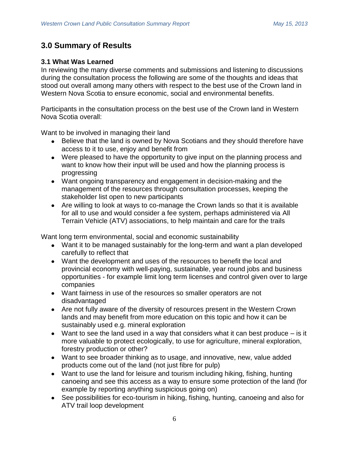# **3.0 Summary of Results**

# **3.1 What Was Learned**

In reviewing the many diverse comments and submissions and listening to discussions during the consultation process the following are some of the thoughts and ideas that stood out overall among many others with respect to the best use of the Crown land in Western Nova Scotia to ensure economic, social and environmental benefits.

Participants in the consultation process on the best use of the Crown land in Western Nova Scotia overall:

Want to be involved in managing their land

- Believe that the land is owned by Nova Scotians and they should therefore have access to it to use, enjoy and benefit from
- Were pleased to have the opportunity to give input on the planning process and want to know how their input will be used and how the planning process is progressing
- Want ongoing transparency and engagement in decision-making and the management of the resources through consultation processes, keeping the stakeholder list open to new participants
- Are willing to look at ways to co-manage the Crown lands so that it is available for all to use and would consider a fee system, perhaps administered via All Terrain Vehicle (ATV) associations, to help maintain and care for the trails

Want long term environmental, social and economic sustainability

- Want it to be managed sustainably for the long-term and want a plan developed carefully to reflect that
- Want the development and uses of the resources to benefit the local and provincial economy with well-paying, sustainable, year round jobs and business opportunities - for example limit long term licenses and control given over to large companies
- Want fairness in use of the resources so smaller operators are not disadvantaged
- Are not fully aware of the diversity of resources present in the Western Crown lands and may benefit from more education on this topic and how it can be sustainably used e.g. mineral exploration
- Want to see the land used in a way that considers what it can best produce  $-$  is it more valuable to protect ecologically, to use for agriculture, mineral exploration, forestry production or other?
- Want to see broader thinking as to usage, and innovative, new, value added products come out of the land (not just fibre for pulp)
- Want to use the land for leisure and tourism including hiking, fishing, hunting canoeing and see this access as a way to ensure some protection of the land (for example by reporting anything suspicious going on)
- See possibilities for eco-tourism in hiking, fishing, hunting, canoeing and also for ATV trail loop development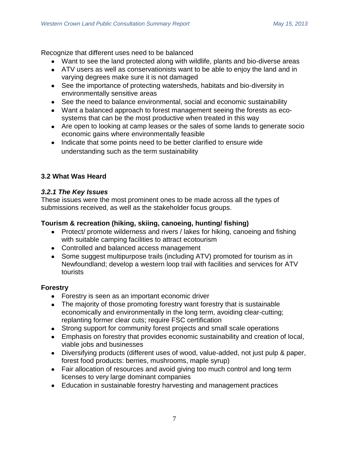Recognize that different uses need to be balanced

- Want to see the land protected along with wildlife, plants and bio-diverse areas
- ATV users as well as conservationists want to be able to enjoy the land and in varying degrees make sure it is not damaged
- See the importance of protecting watersheds, habitats and bio-diversity in environmentally sensitive areas
- See the need to balance environmental, social and economic sustainability
- Want a balanced approach to forest management seeing the forests as ecosystems that can be the most productive when treated in this way
- Are open to looking at camp leases or the sales of some lands to generate socio economic gains where environmentally feasible
- Indicate that some points need to be better clarified to ensure wide understanding such as the term sustainability

# **3.2 What Was Heard**

# *3.2.1 The Key Issues*

These issues were the most prominent ones to be made across all the types of submissions received, as well as the stakeholder focus groups.

# **Tourism & recreation (hiking, skiing, canoeing, hunting/ fishing)**

- Protect/ promote wilderness and rivers / lakes for hiking, canoeing and fishing with suitable camping facilities to attract ecotourism
- Controlled and balanced access management
- Some suggest multipurpose trails (including ATV) promoted for tourism as in Newfoundland; develop a western loop trail with facilities and services for ATV tourists

# **Forestry**

- Forestry is seen as an important economic driver
- The majority of those promoting forestry want forestry that is sustainable economically and environmentally in the long term, avoiding clear-cutting; replanting former clear cuts; require FSC certification
- Strong support for community forest projects and small scale operations
- Emphasis on forestry that provides economic sustainability and creation of local, viable jobs and businesses
- Diversifying products (different uses of wood, value-added, not just pulp & paper, forest food products: berries, mushrooms, maple syrup)
- Fair allocation of resources and avoid giving too much control and long term licenses to very large dominant companies
- Education in sustainable forestry harvesting and management practices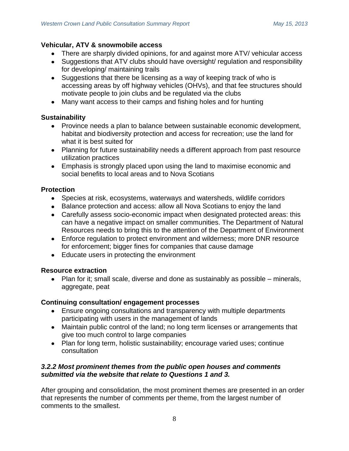# **Vehicular, ATV & snowmobile access**

- There are sharply divided opinions, for and against more ATV/ vehicular access
- Suggestions that ATV clubs should have oversight/ regulation and responsibility for developing/ maintaining trails
- Suggestions that there be licensing as a way of keeping track of who is accessing areas by off highway vehicles (OHVs), and that fee structures should motivate people to join clubs and be regulated via the clubs
- Many want access to their camps and fishing holes and for hunting

# **Sustainability**

- Province needs a plan to balance between sustainable economic development, habitat and biodiversity protection and access for recreation; use the land for what it is best suited for
- Planning for future sustainability needs a different approach from past resource utilization practices
- Emphasis is strongly placed upon using the land to maximise economic and social benefits to local areas and to Nova Scotians

# **Protection**

- Species at risk, ecosystems, waterways and watersheds, wildlife corridors
- Balance protection and access: allow all Nova Scotians to enjoy the land
- Carefully assess socio-economic impact when designated protected areas: this can have a negative impact on smaller communities. The Department of Natural Resources needs to bring this to the attention of the Department of Environment
- Enforce regulation to protect environment and wilderness; more DNR resource for enforcement; bigger fines for companies that cause damage
- Educate users in protecting the environment

# **Resource extraction**

Plan for it; small scale, diverse and done as sustainably as possible – minerals, aggregate, peat

# **Continuing consultation/ engagement processes**

- Ensure ongoing consultations and transparency with multiple departments participating with users in the management of lands
- Maintain public control of the land; no long term licenses or arrangements that give too much control to large companies
- Plan for long term, holistic sustainability; encourage varied uses; continue consultation

# *3.2.2 Most prominent themes from the public open houses and comments submitted via the website that relate to Questions 1 and 3.*

After grouping and consolidation, the most prominent themes are presented in an order that represents the number of comments per theme, from the largest number of comments to the smallest.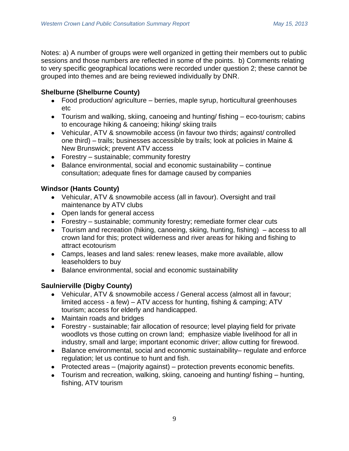Notes: a) A number of groups were well organized in getting their members out to public sessions and those numbers are reflected in some of the points. b) Comments relating to very specific geographical locations were recorded under question 2; these cannot be grouped into themes and are being reviewed individually by DNR.

# **Shelburne (Shelburne County)**

- Food production/ agriculture berries, maple syrup, horticultural greenhouses etc
- Tourism and walking, skiing, canoeing and hunting/ fishing eco-tourism; cabins to encourage hiking & canoeing; hiking/ skiing trails
- Vehicular, ATV & snowmobile access (in favour two thirds; against/ controlled one third) – trails; businesses accessible by trails; look at policies in Maine & New Brunswick; prevent ATV access
- Forestry sustainable; community forestry
- $\bullet$  Balance environmental, social and economic sustainability continue consultation; adequate fines for damage caused by companies

# **Windsor (Hants County)**

- Vehicular, ATV & snowmobile access (all in favour). Oversight and trail maintenance by ATV clubs
- Open lands for general access
- Forestry sustainable; community forestry; remediate former clear cuts
- Tourism and recreation (hiking, canoeing, skiing, hunting, fishing) access to all crown land for this; protect wilderness and river areas for hiking and fishing to attract ecotourism
- Camps, leases and land sales: renew leases, make more available, allow leaseholders to buy
- Balance environmental, social and economic sustainability

# **Saulnierville (Digby County)**

- Vehicular, ATV & snowmobile access / General access (almost all in favour; limited access - a few) – ATV access for hunting, fishing & camping; ATV tourism; access for elderly and handicapped.
- Maintain roads and bridges
- Forestry sustainable; fair allocation of resource; level playing field for private woodlots vs those cutting on crown land; emphasize viable livelihood for all in industry, small and large; important economic driver; allow cutting for firewood.
- Balance environmental, social and economic sustainability– regulate and enforce regulation; let us continue to hunt and fish.
- Protected areas (majority against) protection prevents economic benefits.
- Tourism and recreation, walking, skiing, canoeing and hunting/ fishing hunting, fishing, ATV tourism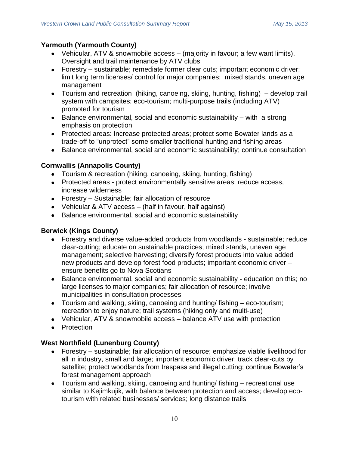# **Yarmouth (Yarmouth County)**

- Vehicular, ATV & snowmobile access (majority in favour; a few want limits). Oversight and trail maintenance by ATV clubs
- Forestry sustainable; remediate former clear cuts; important economic driver; limit long term licenses/ control for major companies; mixed stands, uneven age management
- Tourism and recreation (hiking, canoeing, skiing, hunting, fishing) develop trail system with campsites; eco-tourism; multi-purpose trails (including ATV) promoted for tourism
- Balance environmental, social and economic sustainability with a strong emphasis on protection
- Protected areas: Increase protected areas; protect some Bowater lands as a trade-off to "unprotect" some smaller traditional hunting and fishing areas
- Balance environmental, social and economic sustainability; continue consultation

# **Cornwallis (Annapolis County)**

- Tourism & recreation (hiking, canoeing, skiing, hunting, fishing)
- Protected areas protect environmentally sensitive areas; reduce access, increase wilderness
- Forestry Sustainable; fair allocation of resource
- Vehicular & ATV access (half in favour, half against)
- Balance environmental, social and economic sustainability

# **Berwick (Kings County)**

- Forestry and diverse value-added products from woodlands sustainable; reduce clear-cutting; educate on sustainable practices; mixed stands, uneven age management; selective harvesting; diversify forest products into value added new products and develop forest food products; important economic driver – ensure benefits go to Nova Scotians
- Balance environmental, social and economic sustainability education on this; no large licenses to major companies; fair allocation of resource; involve municipalities in consultation processes
- Tourism and walking, skiing, canoeing and hunting/ fishing eco-tourism; recreation to enjoy nature; trail systems (hiking only and multi-use)
- Vehicular, ATV & snowmobile access balance ATV use with protection
- Protection

# **West Northfield (Lunenburg County)**

- Forestry sustainable; fair allocation of resource; emphasize viable livelihood for all in industry, small and large; important economic driver; track clear-cuts by satellite; protect woodlands from trespass and illegal cutting; continue Bowater's forest management approach
- Tourism and walking, skiing, canoeing and hunting/ fishing recreational use similar to Kejimkujik, with balance between protection and access; develop ecotourism with related businesses/ services; long distance trails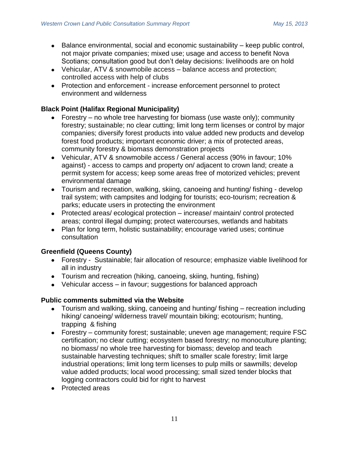- $\bullet$  Balance environmental, social and economic sustainability keep public control, not major private companies; mixed use; usage and access to benefit Nova Scotians; consultation good but don't delay decisions: livelihoods are on hold
- Vehicular, ATV & snowmobile access balance access and protection; controlled access with help of clubs
- Protection and enforcement increase enforcement personnel to protect environment and wilderness

# **Black Point (Halifax Regional Municipality)**

- Forestry no whole tree harvesting for biomass (use waste only); community forestry; sustainable; no clear cutting; limit long term licenses or control by major companies; diversify forest products into value added new products and develop forest food products; important economic driver; a mix of protected areas, community forestry & biomass demonstration projects
- Vehicular, ATV & snowmobile access / General access (90% in favour; 10% against) - access to camps and property on/ adjacent to crown land; create a permit system for access; keep some areas free of motorized vehicles; prevent environmental damage
- Tourism and recreation, walking, skiing, canoeing and hunting/ fishing develop trail system; with campsites and lodging for tourists; eco-tourism; recreation & parks; educate users in protecting the environment
- Protected areas/ ecological protection increase/ maintain/ control protected areas; control illegal dumping; protect watercourses, wetlands and habitats
- Plan for long term, holistic sustainability; encourage varied uses; continue consultation

# **Greenfield (Queens County)**

- Forestry Sustainable; fair allocation of resource; emphasize viable livelihood for all in industry
- Tourism and recreation (hiking, canoeing, skiing, hunting, fishing)
- Vehicular access in favour; suggestions for balanced approach

# **Public comments submitted via the Website**

- Tourism and walking, skiing, canoeing and hunting/ fishing recreation including hiking/ canoeing/ wilderness travel/ mountain biking; ecotourism; hunting, trapping & fishing
- Forestry community forest; sustainable; uneven age management; require FSC certification; no clear cutting; ecosystem based forestry; no monoculture planting; no biomass/ no whole tree harvesting for biomass; develop and teach sustainable harvesting techniques; shift to smaller scale forestry; limit large industrial operations; limit long term licenses to pulp mills or sawmills; develop value added products; local wood processing; small sized tender blocks that logging contractors could bid for right to harvest
- Protected areas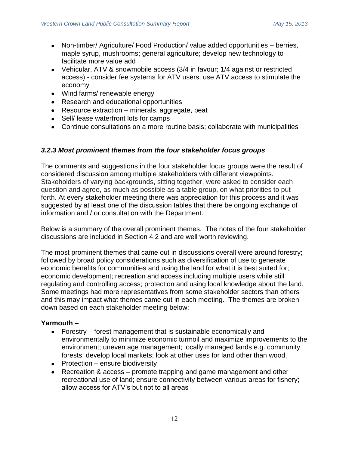- Non-timber/ Agriculture/ Food Production/ value added opportunities berries, maple syrup, mushrooms; general agriculture; develop new technology to facilitate more value add
- Vehicular, ATV & snowmobile access (3/4 in favour; 1/4 against or restricted access) - consider fee systems for ATV users; use ATV access to stimulate the economy
- Wind farms/ renewable energy
- Research and educational opportunities
- Resource extraction minerals, aggregate, peat
- Sell/ lease waterfront lots for camps
- Continue consultations on a more routine basis; collaborate with municipalities

# *3.2.3 Most prominent themes from the four stakeholder focus groups*

The comments and suggestions in the four stakeholder focus groups were the result of considered discussion among multiple stakeholders with different viewpoints. Stakeholders of varying backgrounds, sitting together, were asked to consider each question and agree, as much as possible as a table group, on what priorities to put forth. At every stakeholder meeting there was appreciation for this process and it was suggested by at least one of the discussion tables that there be ongoing exchange of information and / or consultation with the Department.

Below is a summary of the overall prominent themes. The notes of the four stakeholder discussions are included in Section 4.2 and are well worth reviewing.

The most prominent themes that came out in discussions overall were around forestry; followed by broad policy considerations such as diversification of use to generate economic benefits for communities and using the land for what it is best suited for; economic development; recreation and access including multiple users while still regulating and controlling access; protection and using local knowledge about the land. Some meetings had more representatives from some stakeholder sectors than others and this may impact what themes came out in each meeting. The themes are broken down based on each stakeholder meeting below:

# **Yarmouth –**

- Forestry forest management that is sustainable economically and environmentally to minimize economic turmoil and maximize improvements to the environment; uneven age management; locally managed lands e.g. community forests; develop local markets; look at other uses for land other than wood.
- $\bullet$  Protection ensure biodiversity
- Recreation & access promote trapping and game management and other recreational use of land; ensure connectivity between various areas for fishery; allow access for ATV's but not to all areas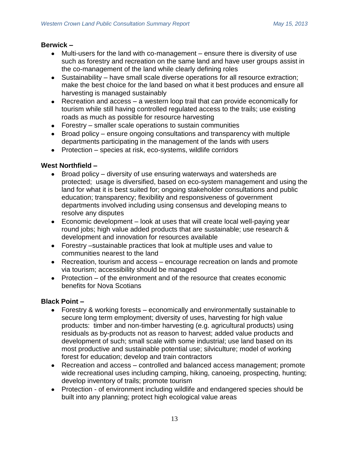# **Berwick –**

- Multi-users for the land with co-management ensure there is diversity of use such as forestry and recreation on the same land and have user groups assist in the co-management of the land while clearly defining roles
- Sustainability have small scale diverse operations for all resource extraction; make the best choice for the land based on what it best produces and ensure all harvesting is managed sustainably
- Recreation and access a western loop trail that can provide economically for tourism while still having controlled regulated access to the trails; use existing roads as much as possible for resource harvesting
- Forestry smaller scale operations to sustain communities
- Broad policy ensure ongoing consultations and transparency with multiple departments participating in the management of the lands with users
- Protection species at risk, eco-systems, wildlife corridors

# **West Northfield –**

- Broad policy diversity of use ensuring waterways and watersheds are protected; usage is diversified, based on eco-system management and using the land for what it is best suited for; ongoing stakeholder consultations and public education; transparency; flexibility and responsiveness of government departments involved including using consensus and developing means to resolve any disputes
- Economic development look at uses that will create local well-paying year round jobs; high value added products that are sustainable; use research & development and innovation for resources available
- Forestry –sustainable practices that look at multiple uses and value to communities nearest to the land
- Recreation, tourism and access encourage recreation on lands and promote via tourism; accessibility should be managed
- Protection  $-$  of the environment and of the resource that creates economic benefits for Nova Scotians

# **Black Point –**

- Forestry & working forests economically and environmentally sustainable to secure long term employment; diversity of uses, harvesting for high value products: timber and non-timber harvesting (e.g. agricultural products) using residuals as by-products not as reason to harvest; added value products and development of such; small scale with some industrial; use land based on its most productive and sustainable potential use; silviculture; model of working forest for education; develop and train contractors
- Recreation and access controlled and balanced access management; promote wide recreational uses including camping, hiking, canoeing, prospecting, hunting; develop inventory of trails; promote tourism
- Protection of environment including wildlife and endangered species should be built into any planning; protect high ecological value areas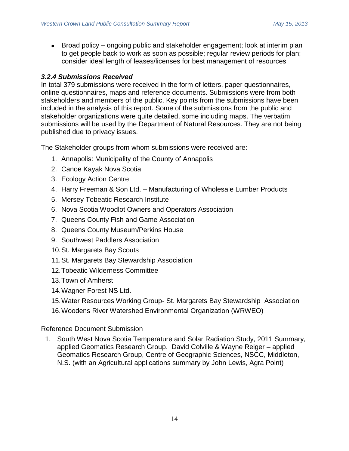• Broad policy – ongoing public and stakeholder engagement; look at interim plan to get people back to work as soon as possible; regular review periods for plan; consider ideal length of leases/licenses for best management of resources

# *3.2.4 Submissions Received*

In total 379 submissions were received in the form of letters, paper questionnaires, online questionnaires, maps and reference documents. Submissions were from both stakeholders and members of the public. Key points from the submissions have been included in the analysis of this report. Some of the submissions from the public and stakeholder organizations were quite detailed, some including maps. The verbatim submissions will be used by the Department of Natural Resources. They are not being published due to privacy issues.

The Stakeholder groups from whom submissions were received are:

- 1. Annapolis: Municipality of the County of Annapolis
- 2. Canoe Kayak Nova Scotia
- 3. Ecology Action Centre
- 4. Harry Freeman & Son Ltd. Manufacturing of Wholesale Lumber Products
- 5. Mersey Tobeatic Research Institute
- 6. Nova Scotia Woodlot Owners and Operators Association
- 7. Queens County Fish and Game Association
- 8. Queens County Museum/Perkins House
- 9. Southwest Paddlers Association
- 10.St. Margarets Bay Scouts
- 11.St. Margarets Bay Stewardship Association
- 12.Tobeatic Wilderness Committee
- 13.Town of Amherst
- 14.Wagner Forest NS Ltd.
- 15.Water Resources Working Group- St. Margarets Bay Stewardship Association
- 16.Woodens River Watershed Environmental Organization (WRWEO)

Reference Document Submission

1. South West Nova Scotia Temperature and Solar Radiation Study, 2011 Summary, applied Geomatics Research Group. David Colville & Wayne Reiger – applied Geomatics Research Group, Centre of Geographic Sciences, NSCC, Middleton, N.S. (with an Agricultural applications summary by John Lewis, Agra Point)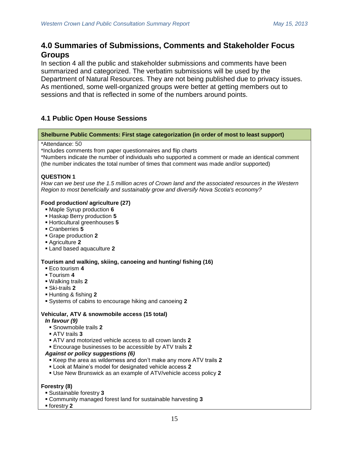# **4.0 Summaries of Submissions, Comments and Stakeholder Focus Groups**

In section 4 all the public and stakeholder submissions and comments have been summarized and categorized. The verbatim submissions will be used by the Department of Natural Resources. They are not being published due to privacy issues. As mentioned, some well-organized groups were better at getting members out to sessions and that is reflected in some of the numbers around points.

# **4.1 Public Open House Sessions**

## **Shelburne Public Comments: First stage categorization (in order of most to least support)**

### \*Attendance: 50

\*Includes comments from paper questionnaires and flip charts

\*Numbers indicate the number of individuals who supported a comment or made an identical comment (the number indicates the total number of times that comment was made and/or supported)

# **QUESTION 1**

*How can we best use the 1.5 million acres of Crown land and the associated resources in the Western Region to most beneficially and sustainably grow and diversify Nova Scotia's economy?*

### **Food production/ agriculture (27)**

- Maple Syrup production **6**
- Haskap Berry production **5**
- Horticultural greenhouses **5**
- Cranberries **5**
- Grape production **2**
- Agriculture **2**
- Land based aquaculture **2**

## **Tourism and walking, skiing, canoeing and hunting/ fishing (16)**

- Eco tourism **4**
- Tourism **4**
- Walking trails **2**
- Ski-trails **2**
- Hunting & fishing **2**
- Systems of cabins to encourage hiking and canoeing **2**

# **Vehicular, ATV & snowmobile access (15 total)**

#### *In favour (9)*

- Snowmobile trails **2**
- ATV trails **3**
- ATV and motorized vehicle access to all crown lands **2**
- Encourage businesses to be accessible by ATV trails **2**

# *Against or policy suggestions (6)*

- Keep the area as wilderness and don't make any more ATV trails **2**
- Look at Maine's model for designated vehicle access **2**
- Use New Brunswick as an example of ATV/vehicle access policy **2**

## **Forestry (8)**

- Sustainable forestry **3**
- Community managed forest land for sustainable harvesting **3**
- forestry **2**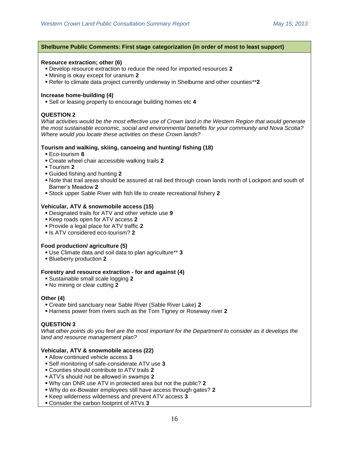#### **Shelburne Public Comments: First stage categorization (in order of most to least support)**

#### **Resource extraction; other (6)**

- Develop resource extraction to reduce the need for imported resources **2**
- Mining is okay except for uranium **2**
- Refer to climate data project currently underway in Shelburne and other counties\*\***2**

#### **Increase home-building (4)**

Sell or leasing property to encourage building homes etc **4**

#### **QUESTION 2**

*What activities would be the most effective use of Crown land in the Western Region that would generate the most sustainable economic, social and environmental benefits for your community and Nova Scotia? Where would you locate these activities on these Crown lands?*

#### **Tourism and walking, skiing, canoeing and hunting/ fishing (18)**

- Eco-tourism **8**
- Create wheel chair accessible walking trails **2**
- Tourism **2**
- Guided fishing and hunting **2**
- Note that trail areas should be assured at rail bed through crown lands north of Lockport and south of Barner's Meadow **2**
- Stock upper Sable River with fish life to create recreational fishery **2**

#### **Vehicular, ATV & snowmobile access (15)**

- Designated trails for ATV and other vehicle use **9**
- Keep roads open for ATV access **2**
- Provide a legal place for ATV traffic **2**
- **Is ATV considered eco-tourism? 2**

#### **Food production/ agriculture (5)**

- Use Climate data and soil data to plan agriculture\*\* **3**
- Blueberry production **2**

#### **Forestry and resource extraction - for and against (4)**

- Sustainable small scale logging **2**
- No mining or clear cutting **2**

#### **Other (4)**

- Create bird sanctuary near Sable River (Sable River Lake) **2**
- Harness power from rivers such as the Tom Tigney or Roseway river **2**

#### **QUESTION 3**

*What other points do you feel are the most important for the Department to consider as it develops the land and resource management plan?*

#### **Vehicular, ATV & snowmobile access (22)**

- Allow continued vehicle access **3**
- Self monitoring of safe-considerate ATV use **3**
- Counties should contribute to ATV trails **2**
- ATV's should not be allowed in swamps **2**
- Why can DNR use ATV in protected area but not the public? **2**
- Why do ex-Bowater employees still have access through gates? **2**
- Keep wilderness wilderness and prevent ATV access **3**
- Consider the carbon footprint of ATVs **3**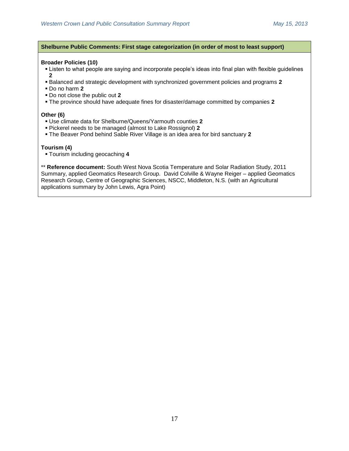### **Shelburne Public Comments: First stage categorization (in order of most to least support)**

#### **Broader Policies (10)**

- Listen to what people are saying and incorporate people's ideas into final plan with flexible guidelines **2**
- Balanced and strategic development with synchronized government policies and programs **2**
- Do no harm **2**
- Do not close the public out **2**
- The province should have adequate fines for disaster/damage committed by companies **2**

#### **Other (6)**

- Use climate data for Shelburne/Queens/Yarmouth counties **2**
- Pickerel needs to be managed (almost to Lake Rossignol) **2**
- The Beaver Pond behind Sable River Village is an idea area for bird sanctuary **2**

## **Tourism (4)**

Tourism including geocaching **4**

\*\* **Reference document:** South West Nova Scotia Temperature and Solar Radiation Study, 2011 Summary, applied Geomatics Research Group. David Colville & Wayne Reiger – applied Geomatics Research Group, Centre of Geographic Sciences, NSCC, Middleton, N.S. (with an Agricultural applications summary by John Lewis, Agra Point)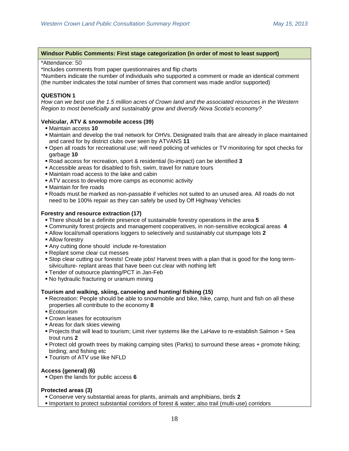#### **Windsor Public Comments: First stage categorization (in order of most to least support)**

#### \*Attendance: 50

\*Includes comments from paper questionnaires and flip charts

\*Numbers indicate the number of individuals who supported a comment or made an identical comment (the number indicates the total number of times that comment was made and/or supported)

### **QUESTION 1**

*How can we best use the 1.5 million acres of Crown land and the associated resources in the Western Region to most beneficially and sustainably grow and diversify Nova Scotia's economy?*

### **Vehicular, ATV & snowmobile access (39)**

- Maintain access **10**
- Maintain and develop the trail network for OHVs. Designated trails that are already in place maintained and cared for by district clubs over seen by ATVANS **11**
- Open all roads for recreational use; will need policing of vehicles or TV monitoring for spot checks for garbage **10**
- Road access for recreation, sport & residential (lo-impact) can be identified **3**
- Accessible areas for disabled to fish, swim, travel for nature tours
- Maintain road access to the lake and cabin
- ATV access to develop more camps as economic activity
- Maintain for fire roads
- Roads must be marked as non-passable if vehicles not suited to an unused area. All roads do not need to be 100% repair as they can safely be used by Off Highway Vehicles

### **Forestry and resource extraction (17)**

- There should be a definite presence of sustainable forestry operations in the area **5**
- Community forest projects and management cooperatives, in non-sensitive ecological areas **4**
- Allow local/small operations loggers to selectively and sustainably cut stumpage lots **2**
- Allow forestry
- Any cutting done should include re-forestation
- Replant some clear cut messes
- Stop clear cutting our forests! Create jobs! Harvest trees with a plan that is good for the long termsilviculture- replant areas that have been cut clear with nothing left
- Tender of outsource planting/PCT in Jan-Feb
- No hydraulic fracturing or uranium mining

#### **Tourism and walking, skiing, canoeing and hunting/ fishing (15)**

- Recreation: People should be able to snowmobile and bike, hike, camp, hunt and fish on all these properties all contribute to the economy **8**
- Ecotourism
- Crown leases for ecotourism
- Areas for dark skies viewing
- Projects that will lead to tourism; Limit river systems like the LaHave to re-establish Salmon + Sea trout runs **2**
- Protect old growth trees by making camping sites (Parks) to surround these areas + promote hiking; birding; and fishing etc
- Tourism of ATV use like NFLD

## **Access (general) (6)**

Open the lands for public access **6**

#### **Protected areas (3)**

- Conserve very substantial areas for plants, animals and amphibians, birds **2**
- Important to protect substantial corridors of forest & water; also trail (multi-use) corridors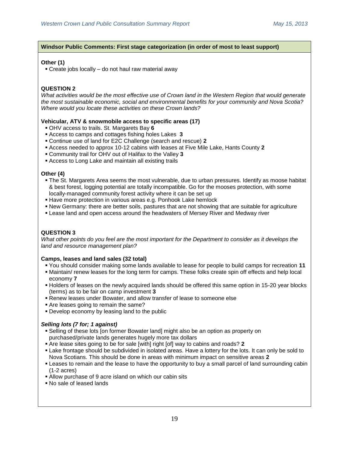## **Windsor Public Comments: First stage categorization (in order of most to least support)**

## **Other (1)**

Create jobs locally – do not haul raw material away

## **QUESTION 2**

*What activities would be the most effective use of Crown land in the Western Region that would generate the most sustainable economic, social and environmental benefits for your community and Nova Scotia? Where would you locate these activities on these Crown lands?*

### **Vehicular, ATV & snowmobile access to specific areas (17)**

- OHV access to trails. St. Margarets Bay **6**
- Access to camps and cottages fishing holes Lakes **3**
- Continue use of land for E2C Challenge (search and rescue) **2**
- Access needed to approx 10-12 cabins with leases at Five Mile Lake, Hants County **2**
- Community trail for OHV out of Halifax to the Valley **3**
- Access to Long Lake and maintain all existing trails

### **Other (4)**

- The St. Margarets Area seems the most vulnerable, due to urban pressures. Identify as moose habitat & best forest, logging potential are totally incompatible. Go for the mooses protection, with some locally-managed community forest activity where it can be set up
- Have more protection in various areas e.g. Ponhook Lake hemlock
- New Germany: there are better soils, pastures that are not showing that are suitable for agriculture
- Lease land and open access around the headwaters of Mersey River and Medway river

## **QUESTION 3**

*What other points do you feel are the most important for the Department to consider as it develops the land and resource management plan?*

#### **Camps, leases and land sales (32 total)**

- You should consider making some lands available to lease for people to build camps for recreation **11**
- Maintain/ renew leases for the long term for camps. These folks create spin off effects and help local economy **7**
- Holders of leases on the newly acquired lands should be offered this same option in 15-20 year blocks (terms) as to be fair on camp investment **3**
- Renew leases under Bowater, and allow transfer of lease to someone else
- Are leases going to remain the same?
- Develop economy by leasing land to the public

## *Selling lots (7 for; 1 against)*

- Selling of these lots [on former Bowater land] might also be an option as property on purchased/private lands generates hugely more tax dollars
- Are lease sites going to be for sale [with] right [of] way to cabins and roads? **2**
- Lake frontage should be subdivided in isolated areas. Have a lottery for the lots. It can only be sold to Nova Scotians. This should be done in areas with minimum impact on sensitive areas **2**
- Leases to remain and the lease to have the opportunity to buy a small parcel of land surrounding cabin (1-2 acres)
- Allow purchase of 9 acre island on which our cabin sits
- No sale of leased lands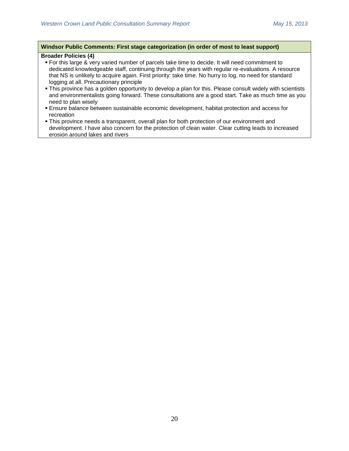### **Windsor Public Comments: First stage categorization (in order of most to least support)**

# **Broader Policies (4)**

- **For this large & very varied number of parcels take time to decide. It will need commitment to** dedicated knowledgeable staff, continuing through the years with regular re-evaluations. A resource that NS is unlikely to acquire again. First priority: take time. No hurry to log, no need for standard logging at all. Precautionary principle
- This province has a golden opportunity to develop a plan for this. Please consult widely with scientists and environmentalists going forward. These consultations are a good start. Take as much time as you need to plan wisely
- Ensure balance between sustainable economic development, habitat protection and access for recreation
- This province needs a transparent, overall plan for both protection of our environment and development. I have also concern for the protection of clean water. Clear cutting leads to increased erosion around lakes and rivers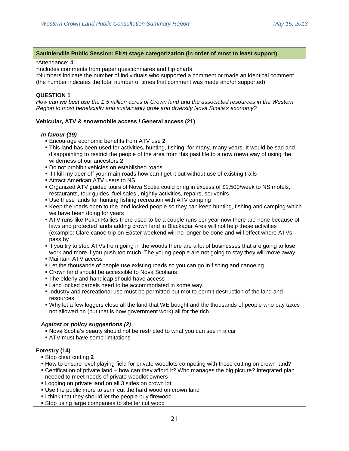### **Saulnierville Public Session: First stage categorization (in order of most to least support)**

#### \*Attendance: 41

\*Includes comments from paper questionnaires and flip charts

\*Numbers indicate the number of individuals who supported a comment or made an identical comment (the number indicates the total number of times that comment was made and/or supported)

### **QUESTION 1**

*How can we best use the 1.5 million acres of Crown land and the associated resources in the Western Region to most beneficially and sustainably grow and diversify Nova Scotia's economy?*

### **Vehicular, ATV & snowmobile access / General access (21)**

#### *In favour (19)*

- Encourage economic benefits from ATV use **2**
- This land has been used for activities, hunting, fishing, for many, many years. It would be sad and disappointing to restrict the people of the area from this past life to a now (new) way of using the wilderness of our ancestors **2**
- Do not prohibit vehicles on established roads
- If I kill my deer off your main roads how can I get it out without use of existing trails
- Attract American ATV users to NS
- Organized ATV guided tours of Nova Scotia could bring in excess of \$1,500/week to NS motels, restaurants, tour guides, fuel sales , nightly activities, repairs, souvenirs
- Use these lands for hunting fishing recreation with ATV camping
- Keep the roads open to the land locked people so they can keep hunting, fishing and camping which we have been doing for years
- ATV runs like Poker Rallies there used to be a couple runs per year now there are none because of laws and protected lands adding crown land in Blackadar Area will not help these activities (example: Clare canoe trip on Easter weekend will no longer be done and will effect where ATVs pass by
- If you try to stop ATVs from going in the woods there are a lot of businesses that are going to lose work and more if you push too much. The young people are not going to stay they will move away.
- Maintain ATV access
- Let the thousands of people use existing roads so you can go in fishing and canoeing
- Crown land should be accessible to Nova Scotians
- **The elderly and handicap should have access**
- **Land locked parcels need to be accommodated in some way.**
- Industry and recreational use must be permitted but mot to permit destruction of the land and resources
- Why let a few loggers close all the land that WE bought and the thousands of people who pay taxes not allowed on (but that is how government work) all for the rich

## *Against or policy suggestions (2)*

- Nova Scotia's beauty should not be restricted to what you can see in a car
- **ATV** must have some limitations

## **Forestry (14)**

- Stop clear cutting **2**
- **How to ensure level playing field for private woodlots competing with those cutting on crown land?**
- Certification of private land how can they afford it? Who manages the big picture? Integrated plan needed to meet needs of private woodlot owners
- **Logging on private land on all 3 sides on crown lot**
- Use the public more to semi cut the hard wood on crown land
- I think that they should let the people buy firewood
- Stop using large companies to shelter cut wood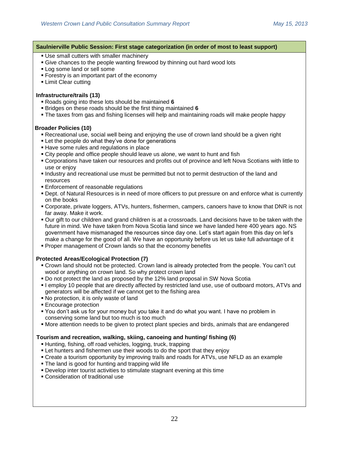#### **Saulnierville Public Session: First stage categorization (in order of most to least support)**

- Use small cutters with smaller machinery
- Give chances to the people wanting firewood by thinning out hard wood lots
- **Log some land or sell some**
- **Forestry is an important part of the economy**
- **ELimit Clear cutting**

#### **Infrastructure/trails (13)**

- Roads going into these lots should be maintained **6**
- Bridges on these roads should be the first thing maintained **6**
- The taxes from gas and fishing licenses will help and maintaining roads will make people happy

### **Broader Policies (10)**

- Recreational use, social well being and enjoying the use of crown land should be a given right
- **Example 1** Let the people do what they've done for generations
- **Have some rules and regulations in place**
- City people and office people should leave us alone, we want to hunt and fish
- Corporations have taken our resources and profits out of province and left Nova Scotians with little to use or enjoy
- Industry and recreational use must be permitted but not to permit destruction of the land and resources
- **Enforcement of reasonable regulations**
- Dept. of Natural Resources is in need of more officers to put pressure on and enforce what is currently on the books
- Corporate, private loggers, ATVs, hunters, fishermen, campers, canoers have to know that DNR is not far away. Make it work.
- Our gift to our children and grand children is at a crossroads. Land decisions have to be taken with the future in mind. We have taken from Nova Scotia land since we have landed here 400 years ago. NS government have mismanaged the resources since day one. Let's start again from this day on let's make a change for the good of all. We have an opportunity before us let us take full advantage of it
- **Proper management of Crown lands so that the economy benefits**

## **Protected Areas/Ecological Protection (7)**

- Crown land should not be protected. Crown land is already protected from the people. You can't cut wood or anything on crown land. So why protect crown land
- Do not protect the land as proposed by the 12% land proposal in SW Nova Scotia
- I employ 10 people that are directly affected by restricted land use, use of outboard motors, ATVs and generators will be affected if we cannot get to the fishing area
- No protection, it is only waste of land
- **Encourage protection**
- You don't ask us for your money but you take it and do what you want. I have no problem in conserving some land but too much is too much
- More attention needs to be given to protect plant species and birds, animals that are endangered

## **Tourism and recreation, walking, skiing, canoeing and hunting/ fishing (6)**

- Hunting, fishing, off road vehicles, logging, truck, trapping
- **Example 1** Let hunters and fishermen use their woods to do the sport that they enjoy
- Create a tourism opportunity by improving trails and roads for ATVs, use NFLD as an example
- The land is good for hunting and trapping wild life
- Develop inter tourist activities to stimulate stagnant evening at this time
- Consideration of traditional use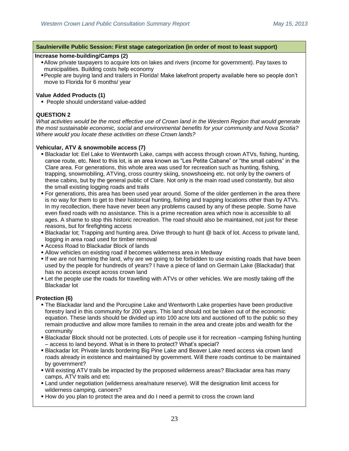#### **Saulnierville Public Session: First stage categorization (in order of most to least support)**

## **Increase home-building/Camps (2)**

- Allow private taxpayers to acquire lots on lakes and rivers (income for government). Pay taxes to municipalities. Building costs help economy
- People are buying land and trailers in Florida! Make lakefront property available here so people don't move to Florida for 6 months/ year

#### **Value Added Products (1)**

■ People should understand value-added

## **QUESTION 2**

*What activities would be the most effective use of Crown land in the Western Region that would generate the most sustainable economic, social and environmental benefits for your community and Nova Scotia? Where would you locate these activities on these Crown lands?*

### **Vehicular, ATV & snowmobile access (7)**

- Blackadar lot: Eel Lake to Wentworth Lake, camps with access through crown ATVs, fishing, hunting, canoe route, etc. Next to this lot, is an area known as "Les Petite Cabane" or "the small cabins" in the Clare area. For generations, this whole area was used for recreation such as hunting, fishing, trapping, snowmobiling, ATVing, cross country skiing, snowshoeing etc. not only by the owners of these cabins, but by the general public of Clare. Not only is the main road used constantly, but also the small existing logging roads and trails
- For generations, this area has been used year around. Some of the older gentlemen in the area there is no way for them to get to their historical hunting, fishing and trapping locations other than by ATVs. In my recollection, there have never been any problems caused by any of these people. Some have even fixed roads with no assistance. This is a prime recreation area which now is accessible to all ages. A shame to stop this historic recreation. The road should also be maintained, not just for these reasons, but for firefighting access
- Blackadar lot; Trapping and hunting area. Drive through to hunt @ back of lot. Access to private land, logging in area road used for timber removal
- Access Road to Blackadar Block of lands
- Allow vehicles on existing road if becomes wilderness area in Medway
- If we are not harming the land, why are we going to be forbidden to use existing roads that have been used by the people for hundreds of years? I have a piece of land on Germain Lake (Blackadar) that has no access except across crown land
- Let the people use the roads for travelling with ATVs or other vehicles. We are mostly taking off the Blackadar lot

#### **Protection (6)**

- The Blackadar land and the Porcupine Lake and Wentworth Lake properties have been productive forestry land in this community for 200 years. This land should not be taken out of the economic equation. These lands should be divided up into 100 acre lots and auctioned off to the public so they remain productive and allow more families to remain in the area and create jobs and wealth for the community
- Blackadar Block should not be protected. Lots of people use it for recreation –camping fishing hunting – access to land beyond. What is in there to protect? What's special?
- Blackadar lot: Private lands bordering Big Pine Lake and Beaver Lake need access via crown land roads already in existence and maintained by government. Will there roads continue to be maintained by government?
- Will existing ATV trails be impacted by the proposed wilderness areas? Blackadar area has many camps, ATV trails and etc
- Land under negotiation (wilderness area/nature reserve). Will the designation limit access for wilderness camping, canoers?
- How do you plan to protect the area and do I need a permit to cross the crown land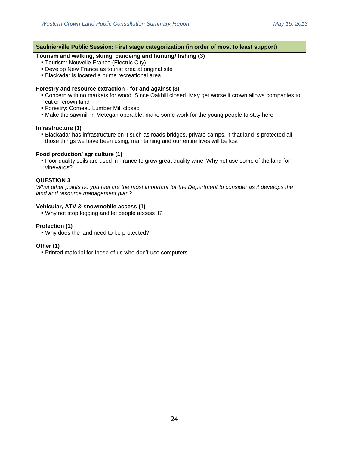# **Saulnierville Public Session: First stage categorization (in order of most to least support) Tourism and walking, skiing, canoeing and hunting/ fishing (3)** Tourism: Nouvelle-France (Electric City) Develop New France as tourist area at original site Blackadar is located a prime recreational area **Forestry and resource extraction - for and against (3)** Concern with no markets for wood. Since Oakhill closed. May get worse if crown allows companies to cut on crown land Forestry: Comeau Lumber Mill closed Make the sawmill in Metegan operable, make some work for the young people to stay here **Infrastructure (1)** Blackadar has infrastructure on it such as roads bridges, private camps. If that land is protected all those things we have been using, maintaining and our entire lives will be lost **Food production/ agriculture (1)**  Poor quality soils are used in France to grow great quality wine. Why not use some of the land for vineyards? **QUESTION 3** *What other points do you feel are the most important for the Department to consider as it develops the land and resource management plan?* **Vehicular, ATV & snowmobile access (1)**  Why not stop logging and let people access it? **Protection (1)** Why does the land need to be protected? **Other (1)** Printed material for those of us who don't use computers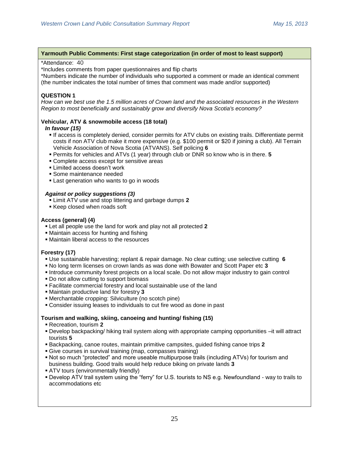### **Yarmouth Public Comments: First stage categorization (in order of most to least support)**

#### \*Attendance: 40

\*Includes comments from paper questionnaires and flip charts

\*Numbers indicate the number of individuals who supported a comment or made an identical comment (the number indicates the total number of times that comment was made and/or supported)

# **QUESTION 1**

*How can we best use the 1.5 million acres of Crown land and the associated resources in the Western Region to most beneficially and sustainably grow and diversify Nova Scotia's economy?*

# **Vehicular, ATV & snowmobile access (18 total)**

### *In favour (15)*

- If access is completely denied, consider permits for ATV clubs on existing trails. Differentiate permit costs if non ATV club make it more expensive (e.g. \$100 permit or \$20 if joining a club). All Terrain Vehicle Association of Nova Scotia (ATVANS). Self policing **6**
- Permits for vehicles and ATVs (1 year) through club or DNR so know who is in there. **5**
- Complete access except for sensitive areas
- Limited access doesn't work
- Some maintenance needed
- Last generation who wants to go in woods

### *Against or policy suggestions (3)*

- Limit ATV use and stop littering and garbage dumps **2**
- Keep closed when roads soft

## **Access (general) (4)**

- Let all people use the land for work and play not all protected **2**
- Maintain access for hunting and fishing
- Maintain liberal access to the resources

## **Forestry (17)**

- Use sustainable harvesting; replant & repair damage. No clear cutting; use selective cutting **6**
- No long term licenses on crown lands as was done with Bowater and Scott Paper etc **3**
- Introduce community forest projects on a local scale. Do not allow major industry to gain control
- Do not allow cutting to support biomass
- Facilitate commercial forestry and local sustainable use of the land
- Maintain productive land for forestry **3**
- Merchantable cropping: Silviculture (no scotch pine)
- Consider issuing leases to individuals to cut fire wood as done in past

## **Tourism and walking, skiing, canoeing and hunting/ fishing (15)**

- Recreation, tourism **2**
- Develop backpacking/ hiking trail system along with appropriate camping opportunities –it will attract tourists **5**
- Backpacking, canoe routes, maintain primitive campsites, guided fishing canoe trips **2**
- Give courses in survival training (map, compasses training)
- Not so much "protected" and more useable multipurpose trails (including ATVs) for tourism and business building. Good trails would help reduce biking on private lands **3**
- ATV tours (environmentally friendly)
- Develop ATV trail system using the "ferry" for U.S. tourists to NS e.g. Newfoundland way to trails to accommodations etc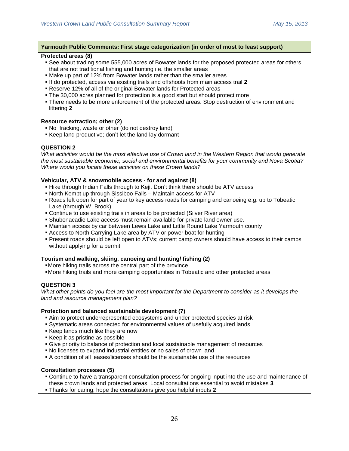### **Yarmouth Public Comments: First stage categorization (in order of most to least support)**

#### **Protected areas (8)**

- See about trading some 555,000 acres of Bowater lands for the proposed protected areas for others that are not traditional fishing and hunting i.e. the smaller areas
- Make up part of 12% from Bowater lands rather than the smaller areas
- If do protected, access via existing trails and offshoots from main access trail **2**
- Reserve 12% of all of the original Bowater lands for Protected areas
- The 30,000 acres planned for protection is a good start but should protect more
- There needs to be more enforcement of the protected areas. Stop destruction of environment and littering **2**

#### **Resource extraction; other (2)**

- No fracking, waste or other (do not destroy land)
- Keep land productive; don't let the land lay dormant

# **QUESTION 2**

*What activities would be the most effective use of Crown land in the Western Region that would generate the most sustainable economic, social and environmental benefits for your community and Nova Scotia? Where would you locate these activities on these Crown lands?*

### **Vehicular, ATV & snowmobile access - for and against (8)**

- Hike through Indian Falls through to Keji. Don't think there should be ATV access
- North Kempt up through Sissiboo Falls Maintain access for ATV
- Roads left open for part of year to key access roads for camping and canoeing e.g. up to Tobeatic Lake (through W. Brook)
- Continue to use existing trails in areas to be protected (Silver River area)
- Shubenacadie Lake access must remain available for private land owner use.
- Maintain access by car between Lewis Lake and Little Round Lake Yarmouth county
- Access to North Carrying Lake area by ATV or power boat for hunting
- Present roads should be left open to ATVs; current camp owners should have access to their camps without applying for a permit

## **Tourism and walking, skiing, canoeing and hunting/ fishing (2)**

- More hiking trails across the central part of the province
- More hiking trails and more camping opportunities in Tobeatic and other protected areas

## **QUESTION 3**

*What other points do you feel are the most important for the Department to consider as it develops the land and resource management plan?*

#### **Protection and balanced sustainable development (7)**

- Aim to protect underrepresented ecosystems and under protected species at risk
- Systematic areas connected for environmental values of usefully acquired lands
- Keep lands much like they are now
- Keep it as pristine as possible
- Give priority to balance of protection and local sustainable management of resources
- No licenses to expand industrial entities or no sales of crown land
- A condition of all leases/licenses should be the sustainable use of the resources

## **Consultation processes (5)**

- Continue to have a transparent consultation process for ongoing input into the use and maintenance of these crown lands and protected areas. Local consultations essential to avoid mistakes **3**
- Thanks for caring; hope the consultations give you helpful inputs **2**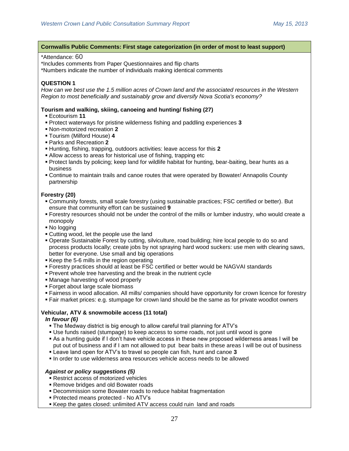#### **Cornwallis Public Comments: First stage categorization (in order of most to least support)**

#### \*Attendance: 60

\*Includes comments from Paper Questionnaires and flip charts

\*Numbers indicate the number of individuals making identical comments

# **QUESTION 1**

*How can we best use the 1.5 million acres of Crown land and the associated resources in the Western Region to most beneficially and sustainably grow and diversify Nova Scotia's economy?*

### **Tourism and walking, skiing, canoeing and hunting/ fishing (27)**

- Ecotourism **11**
- Protect waterways for pristine wilderness fishing and paddling experiences **3**
- Non-motorized recreation **2**
- Tourism (Milford House) **4**
- Parks and Recreation **2**
- Hunting, fishing, trapping, outdoors activities: leave access for this **2**
- Allow access to areas for historical use of fishing, trapping etc
- Protect lands by policing; keep land for wildlife habitat for hunting, bear-baiting, bear hunts as a business
- Continue to maintain trails and canoe routes that were operated by Bowater/ Annapolis County partnership

### **Forestry (20)**

- Community forests, small scale forestry (using sustainable practices; FSC certified or better). But ensure that community effort can be sustained **9**
- Forestry resources should not be under the control of the mills or lumber industry, who would create a monopoly
- No logging
- Cutting wood, let the people use the land
- Operate Sustainable Forest by cutting, silviculture, road building; hire local people to do so and process products locally; create jobs by not spraying hard wood suckers: use men with clearing saws, better for everyone. Use small and big operations
- Keep the 5-6 mills in the region operating
- Forestry practices should at least be FSC certified or better would be NAGVAI standards
- Prevent whole tree harvesting and the break in the nutrient cycle
- Manage harvesting of wood properly
- Forget about large scale biomass
- Fairness in wood allocation. All mills/ companies should have opportunity for crown licence for forestry
- Fair market prices: e.g. stumpage for crown land should be the same as for private woodlot owners

## **Vehicular, ATV & snowmobile access (11 total)**

## *In favour (6)*

- The Medway district is big enough to allow careful trail planning for ATV's
- Use funds raised (stumpage) to keep access to some roads, not just until wood is gone
- As a hunting guide if I don't have vehicle access in these new proposed wilderness areas I will be put out of business and if I am not allowed to put bear baits in these areas I will be out of business
- Leave land open for ATV's to travel so people can fish, hunt and canoe **3**
- In order to use wilderness area resources vehicle access needs to be allowed

## *Against or policy suggestions (5)*

- Restrict access of motorized vehicles
- Remove bridges and old Bowater roads
- Decommission some Bowater roads to reduce habitat fragmentation
- Protected means protected No ATV's
- Keep the gates closed: unlimited ATV access could ruin land and roads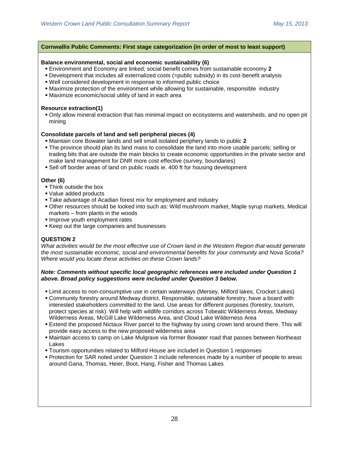### **Cornwallis Public Comments: First stage categorization (in order of most to least support)**

### **Balance environmental, social and economic sustainability (6)**

- Environment and Economy are linked; social benefit comes from sustainable economy **2**
- Development that includes all externalized costs (=public subsidy) in its cost-benefit analysis
- Well considered development in response to informed public choice
- Maximize protection of the environment while allowing for sustainable, responsible industry
- Maximize economic/social utility of land in each area

#### **Resource extraction(1)**

 Only allow mineral extraction that has minimal impact on ecosystems and watersheds, and no open pit mining

### **Consolidate parcels of land and sell peripheral pieces (4)**

- Maintain core Bowater lands and sell small isolated periphery lands to public **2**
- The province should plan its land mass to consolidate the land into more usable parcels; selling or trading bits that are outside the main blocks to create economic opportunities in the private sector and make land management for DNR more cost effective (survey, boundaries)
- Sell off border areas of land on public roads ie. 400 ft for housing development

#### **Other (6)**

- Think outside the box
- Value added products
- Take advantage of Acadian forest mix for employment and industry
- Other resources should be looked into such as: Wild mushroom market, Maple syrup markets, Medical markets – from plants in the woods
- **Improve youth employment rates**
- Keep out the large companies and businesses

## **QUESTION 2**

*What activities would be the most effective use of Crown land in the Western Region that would generate the most sustainable economic, social and environmental benefits for your community and Nova Scotia? Where would you locate these activities on these Crown lands?*

#### *Note: Comments without specific local geographic references were included under Question 1 above. Broad policy suggestions were included under Question 3 below.*

- Limit access to non-consumptive use in certain waterways (Mersey, Milford lakes, Crocket Lakes)
- Community forestry around Medway district. Responsible, sustainable forestry, have a board with interested stakeholders committed to the land. Use areas for different purposes (forestry, tourism, protect species at risk). Will help with wildlife corridors across Tobeatic Wilderness Areas, Medway Wilderness Areas, McGill Lake Wilderness Area, and Cloud Lake Wilderness Area
- Extend the proposed Nictaux River parcel to the highway by using crown land around there. This will provide easy access to the new proposed wilderness area
- Maintain access to camp on Lake Mulgrave via former Bowater road that passes between Northeast Lakes
- Tourism opportunities related to Milford House are included in Question 1 responses
- Protection for SAR noted under Question 3 include references made by a number of people to areas around Gana, Thomas, Heier, Boot, Hang, Fisher and Thomas Lakes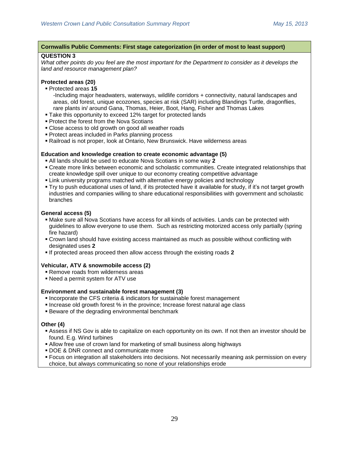#### **Cornwallis Public Comments: First stage categorization (in order of most to least support)**

#### **QUESTION 3**

*What other points do you feel are the most important for the Department to consider as it develops the land and resource management plan?*

#### **Protected areas (20)**

- Protected areas **15**
	- -Including major headwaters, waterways, wildlife corridors + connectivity, natural landscapes and areas, old forest, unique ecozones, species at risk (SAR) including Blandings Turtle, dragonflies, rare plants in/ around Gana, Thomas, Heier, Boot, Hang, Fisher and Thomas Lakes
- Take this opportunity to exceed 12% target for protected lands
- **Protect the forest from the Nova Scotians**
- Close access to old growth on good all weather roads
- **Protect areas included in Parks planning process**
- Railroad is not proper, look at Ontario, New Brunswick. Have wilderness areas

#### **Education and knowledge creation to create economic advantage (5)**

- All lands should be used to educate Nova Scotians in some way **2**
- Create more links between economic and scholastic communities. Create integrated relationships that create knowledge spill over unique to our economy creating competitive advantage
- Link university programs matched with alternative energy policies and technology
- Try to push educational uses of land, if its protected have it available for study, if it's not target growth industries and companies willing to share educational responsibilities with government and scholastic branches

#### **General access (5)**

- Make sure all Nova Scotians have access for all kinds of activities. Lands can be protected with guidelines to allow everyone to use them. Such as restricting motorized access only partially (spring fire hazard)
- Crown land should have existing access maintained as much as possible without conflicting with designated uses **2**
- If protected areas proceed then allow access through the existing roads **2**

#### **Vehicular, ATV & snowmobile access (2)**

- Remove roads from wilderness areas
- Need a permit system for ATV use

#### **Environment and sustainable forest management (3)**

- **Incorporate the CFS criteria & indicators for sustainable forest management**
- Increase old growth forest % in the province; Increase forest natural age class
- Beware of the degrading environmental benchmark

#### **Other (4)**

- Assess if NS Gov is able to capitalize on each opportunity on its own. If not then an investor should be found. E.g. Wind turbines
- Allow free use of crown land for marketing of small business along highways
- **DOE & DNR connect and communicate more**
- Focus on integration all stakeholders into decisions. Not necessarily meaning ask permission on every choice, but always communicating so none of your relationships erode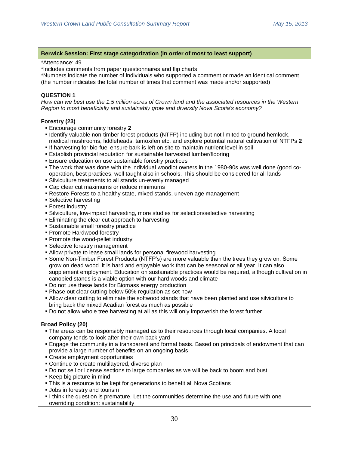#### **Berwick Session: First stage categorization (in order of most to least support)**

#### \*Attendance: 49

\*Includes comments from paper questionnaires and flip charts

\*Numbers indicate the number of individuals who supported a comment or made an identical comment (the number indicates the total number of times that comment was made and/or supported)

### **QUESTION 1**

*How can we best use the 1.5 million acres of Crown land and the associated resources in the Western Region to most beneficially and sustainably grow and diversify Nova Scotia's economy?*

## **Forestry (23)**

- Encourage community forestry **2**
- **I** Identify valuable non-timber forest products (NTFP) including but not limited to ground hemlock, medical mushrooms, fiddleheads, tamoxifen etc. and explore potential natural cultivation of NTFPs **2**
- **If harvesting for bio-fuel ensure bark is left on site to maintain nutrient level in soil**
- Establish provincial reputation for sustainable harvested lumber/flooring
- **Ensure education on use sustainable forestry practices**
- The work that was done with the individual woodlot owners in the 1980-90s was well done (good cooperation, best practices, well taught also in schools. This should be considered for all lands
- Silviculture treatments to all stands un-evenly managed
- **Cap clear cut maximums or reduce minimums**
- Restore Forests to a healthy state, mixed stands, uneven age management
- Selective harvesting
- **Forest industry**
- Silviculture, low-impact harvesting, more studies for selection/selective harvesting
- **Eliminating the clear cut approach to harvesting**
- Sustainable small forestry practice
- Promote Hardwood forestry
- **Promote the wood-pellet industry**
- Selective forestry management
- Allow private to lease small lands for personal firewood harvesting
- Some Non-Timber Forest Products (NTFP's) are more valuable than the trees they grow on. Some grow on dead wood. it is hard and enjoyable work that can be seasonal or all year. It can also supplement employment. Education on sustainable practices would be required, although cultivation in canopied stands is a viable option with our hard woods and climate
- Do not use these lands for Biomass energy production
- **Phase out clear cutting below 50% regulation as set now**
- Allow clear cutting to eliminate the softwood stands that have been planted and use silviculture to bring back the mixed Acadian forest as much as possible
- Do not allow whole tree harvesting at all as this will only impoverish the forest further

#### **Broad Policy (20)**

- The areas can be responsibly managed as to their resources through local companies. A local company tends to look after their own back yard
- Engage the community in a transparent and formal basis. Based on principals of endowment that can provide a large number of benefits on an ongoing basis
- Create employment opportunities
- **Continue to create multilayered, diverse plan**
- Do not sell or license sections to large companies as we will be back to boom and bust
- Keep big picture in mind
- This is a resource to be kept for generations to benefit all Nova Scotians
- **Jobs in forestry and tourism**
- I think the question is premature. Let the communities determine the use and future with one overriding condition: sustainability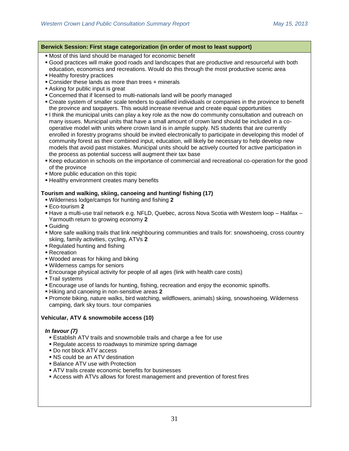### **Berwick Session: First stage categorization (in order of most to least support)**

Most of this land should be managed for economic benefit

- Good practices will make good roads and landscapes that are productive and resourceful with both education, economics and recreations. Would do this through the most productive scenic area
- **Healthy forestry practices**
- Consider these lands as more than trees + minerals
- Asking for public input is great
- Concerned that if licensed to multi-nationals land will be poorly managed
- Create system of smaller scale tenders to qualified individuals or companies in the province to benefit the province and taxpayers. This would increase revenue and create equal opportunities
- I think the municipal units can play a key role as the now do community consultation and outreach on many issues. Municipal units that have a small amount of crown land should be included in a cooperative model with units where crown land is in ample supply. NS students that are currently enrolled in forestry programs should be invited electronically to participate in developing this model of community forest as their combined input, education, will likely be necessary to help develop new models that avoid past mistakes. Municipal units should be actively courted for active participation in the process as potential success will augment their tax base
- Keep education in schools on the importance of commercial and recreational co-operation for the good of the province
- More public education on this topic
- **Example 2 Healthy environment creates many benefits**

#### **Tourism and walking, skiing, canoeing and hunting/ fishing (17)**

- Wilderness lodge/camps for hunting and fishing **2**
- Eco-tourism **2**
- Have a multi-use trail network e.g. NFLD, Quebec, across Nova Scotia with Western loop Halifax Yarmouth return to growing economy **2**
- Guiding
- More safe walking trails that link neighbouring communities and trails for: snowshoeing, cross country skiing, family activities, cycling, ATVs **2**
- Regulated hunting and fishing
- Recreation
- Wooded areas for hiking and biking
- Wilderness camps for seniors
- Encourage physical activity for people of all ages (link with health care costs)
- **Trail systems**
- Encourage use of lands for hunting, fishing, recreation and enjoy the economic spinoffs.
- Hiking and canoeing in non-sensitive areas **2**
- Promote biking, nature walks, bird watching, wildflowers, animals) skiing, snowshoeing. Wilderness camping, dark sky tours. tour companies

#### **Vehicular, ATV & snowmobile access (10)**

#### *In favour (7)*

- Establish ATV trails and snowmobile trails and charge a fee for use
- Regulate access to roadways to minimize spring damage
- Do not block ATV access
- NS could be an ATV destination
- **Balance ATV use with Protection**
- ATV trails create economic benefits for businesses
- Access with ATVs allows for forest management and prevention of forest fires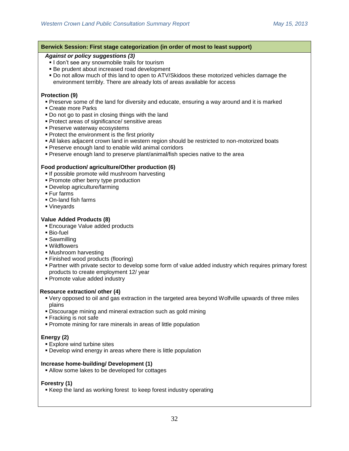| Berwick Session: First stage categorization (in order of most to least support)                                                                                                                                                                                                                                                                                                                                                                                                                                                                                                      |
|--------------------------------------------------------------------------------------------------------------------------------------------------------------------------------------------------------------------------------------------------------------------------------------------------------------------------------------------------------------------------------------------------------------------------------------------------------------------------------------------------------------------------------------------------------------------------------------|
| <b>Against or policy suggestions (3)</b><br>I don't see any snowmobile trails for tourism<br>• Be prudent about increased road development<br>. Do not allow much of this land to open to ATV/Skidoos these motorized vehicles damage the<br>environment terribly. There are already lots of areas available for access                                                                                                                                                                                                                                                              |
| Protection (9)<br>• Preserve some of the land for diversity and educate, ensuring a way around and it is marked<br>• Create more Parks<br>. Do not go to past in closing things with the land<br>• Protect areas of significance/ sensitive areas<br>• Preserve waterway ecosystems<br>• Protect the environment is the first priority<br>. All lakes adjacent crown land in western region should be restricted to non-motorized boats<br>• Preserve enough land to enable wild animal corridors<br>• Preserve enough land to preserve plant/animal/fish species native to the area |
| Food production/ agriculture/Other production (6)<br>. If possible promote wild mushroom harvesting<br>• Promote other berry type production<br>• Develop agriculture/farming<br>■ Fur farms<br>On-land fish farms<br>■ Vineyards                                                                                                                                                                                                                                                                                                                                                    |
| <b>Value Added Products (8)</b><br><b>Encourage Value added products</b><br>■ Bio-fuel<br>• Sawmilling<br>■ Wildflowers<br>• Mushroom harvesting<br>■ Finished wood products (flooring)<br>• Partner with private sector to develop some form of value added industry which requires primary forest<br>products to create employment 12/ year<br>• Promote value added industry                                                                                                                                                                                                      |
| <b>Resource extraction/ other (4)</b><br>• Very opposed to oil and gas extraction in the targeted area beyond Wolfville upwards of three miles<br>plains<br>. Discourage mining and mineral extraction such as gold mining<br>Fracking is not safe<br>• Promote mining for rare minerals in areas of little population                                                                                                                                                                                                                                                               |
| Energy (2)<br><b>Explore wind turbine sites</b><br>• Develop wind energy in areas where there is little population                                                                                                                                                                                                                                                                                                                                                                                                                                                                   |
| Increase home-building/ Development (1)<br>• Allow some lakes to be developed for cottages                                                                                                                                                                                                                                                                                                                                                                                                                                                                                           |
| Forestry (1)<br>■ Keep the land as working forest to keep forest industry operating                                                                                                                                                                                                                                                                                                                                                                                                                                                                                                  |
|                                                                                                                                                                                                                                                                                                                                                                                                                                                                                                                                                                                      |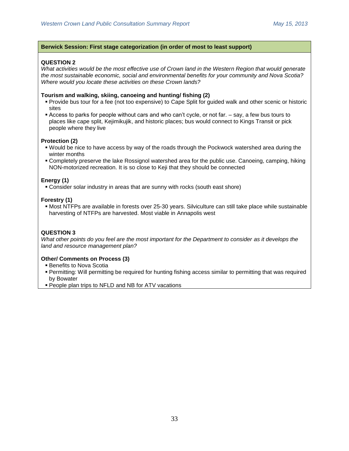### **Berwick Session: First stage categorization (in order of most to least support)**

## **QUESTION 2**

*What activities would be the most effective use of Crown land in the Western Region that would generate the most sustainable economic, social and environmental benefits for your community and Nova Scotia? Where would you locate these activities on these Crown lands?*

#### **Tourism and walking, skiing, canoeing and hunting/ fishing (2)**

- Provide bus tour for a fee (not too expensive) to Cape Split for guided walk and other scenic or historic sites
- Access to parks for people without cars and who can't cycle, or not far. say, a few bus tours to places like cape split, Kejimikujik, and historic places; bus would connect to Kings Transit or pick people where they live

#### **Protection (2)**

- Would be nice to have access by way of the roads through the Pockwock watershed area during the winter months
- Completely preserve the lake Rossignol watershed area for the public use. Canoeing, camping, hiking NON-motorized recreation. It is so close to Keji that they should be connected

#### **Energy (1)**

Consider solar industry in areas that are sunny with rocks (south east shore)

#### **Forestry (1)**

 Most NTFPs are available in forests over 25-30 years. Silviculture can still take place while sustainable harvesting of NTFPs are harvested. Most viable in Annapolis west

## **QUESTION 3**

*What other points do you feel are the most important for the Department to consider as it develops the land and resource management plan?*

#### **Other/ Comments on Process (3)**

- **Benefits to Nova Scotia**
- Permitting: Will permitting be required for hunting fishing access similar to permitting that was required by Bowater
- People plan trips to NFLD and NB for ATV vacations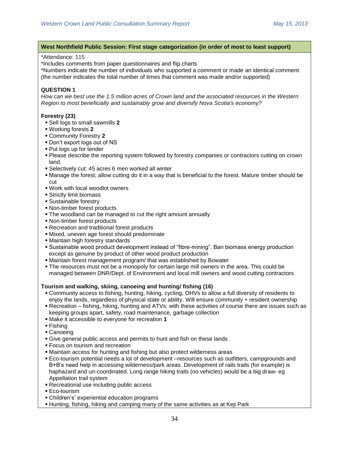#### **West Northfield Public Session: First stage categorization (in order of most to least support)**

#### \*Attendance: 115

\*Includes comments from paper questionnaires and flip charts

\*Numbers indicate the number of individuals who supported a comment or made an identical comment (the number indicates the total number of times that comment was made and/or supported)

# **QUESTION 1**

*How can we best use the 1.5 million acres of Crown land and the associated resources in the Western Region to most beneficially and sustainably grow and diversify Nova Scotia's economy?*

## **Forestry (23)**

- Sell logs to small sawmills **2**
- Working forests **2**
- Community Forestry **2**
- Don't export logs out of NS
- Put logs up for tender
- Please describe the reporting system followed by forestry companies or contractors cutting on crown land.
- Selectively cut: 45 acres 6 men worked all winter
- Manage the forest; allow cutting do it in a way that is beneficial to the forest. Mature timber should be cut
- Work with local woodlot owners
- Strictly limit biomass
- Sustainable forestry
- Non-timber forest products
- **The woodland can be managed to cut the right amount annually**
- Non-timber forest products
- Recreation and traditional forest products
- Mixed, uneven age forest should predominate
- Maintain high forestry standards
- Sustainable wood product development instead of "fibre-mining". Ban biomass energy production except as genuine by product of other wood product production
- Maintain forest management program/ that was established by Bowater
- The resources must not be a monopoly for certain large mill owners in the area. This could be managed between DNR/Dept. of Environment and local mill owners and wood cutting contractors

## **Tourism and walking, skiing, canoeing and hunting/ fishing (16)**

- Community access to fishing, hunting, hiking, cycling, OHVs to allow a full diversity of residents to enjoy the lands, regardless of physical state or ability. Will ensure community + resident ownership
- Recreation fishing, hiking, hunting and ATVs: with these activities of course there are issues such as keeping groups apart, safety, road maintenance, garbage collection
- Make it accessible to everyone for recreation **1**
- Fishing
- Canoeing
- Give general public access and permits to hunt and fish on these lands
- Focus on tourism and recreation
- Maintain access for hunting and fishing but also protect wilderness areas
- Eco-tourism potential needs a lot of development –resources such as outfitters, campgrounds and B+B's need help in accessing wilderness/park areas. Development of rails trails (for example) is haphazard and un-coordinated. Long range hiking trails (no vehicles) would be a big draw- eg Appellation trail system
- Recreational use including public access
- **Eco-tourism**
- Children's' experiential education programs
- Hunting, fishing, hiking and camping many of the same activities as at Keji Park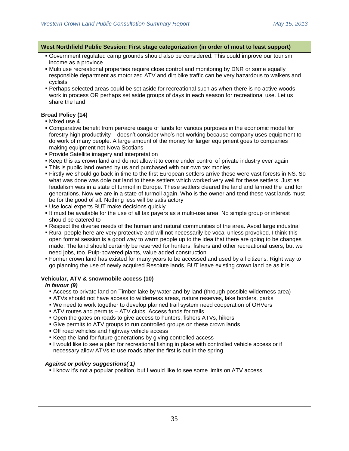#### **West Northfield Public Session: First stage categorization (in order of most to least support)**

- Government regulated camp grounds should also be considered. This could improve our tourism income as a province
- Multi use recreational properties require close control and monitoring by DNR or some equally responsible department as motorized ATV and dirt bike traffic can be very hazardous to walkers and cyclists
- Perhaps selected areas could be set aside for recreational such as when there is no active woods work in process OR perhaps set aside groups of days in each season for recreational use. Let us share the land

## **Broad Policy (14)**

- Mixed use **4**
- Comparative benefit from per/acre usage of lands for various purposes in the economic model for forestry high productivity – doesn't consider who's not working because company uses equipment to do work of many people. A large amount of the money for larger equipment goes to companies making equipment not Nova Scotians
- Provide Satellite imagery and interpretation
- Keep this as crown land and do not allow it to come under control of private industry ever again
- This is public land owned by us and purchased with our own tax monies
- Firstly we should go back in time to the first European settlers arrive these were vast forests in NS. So what was done was dole out land to these settlers which worked very well for these settlers. Just as feudalism was in a state of turmoil in Europe. These settlers cleared the land and farmed the land for generations. Now we are in a state of turmoil again. Who is the owner and tend these vast lands must be for the good of all. Nothing less will be satisfactory
- Use local experts BUT make decisions quickly
- It must be available for the use of all tax payers as a multi-use area. No simple group or interest should be catered to
- Respect the diverse needs of the human and natural communities of the area. Avoid large industrial
- Rural people here are very protective and will not necessarily be vocal unless provoked. I think this open format session is a good way to warm people up to the idea that there are going to be changes made. The land should certainly be reserved for hunters, fishers and other recreational users, but we need jobs, too. Pulp-powered plants, value added construction
- Former crown land has existed for many years to be accessed and used by all citizens. Right way to go planning the use of newly acquired Resolute lands, BUT leave existing crown land be as it is

## **Vehicular, ATV & snowmobile access (10)**

## *In favour (9)*

- Access to private land on Timber lake by water and by land (through possible wilderness area)
- ATVs should not have access to wilderness areas, nature reserves, lake borders, parks
- We need to work together to develop planned trail system need cooperation of OHVers
- ATV routes and permits ATV clubs. Access funds for trails
- Open the gates on roads to give access to hunters, fishers ATVs, hikers
- Give permits to ATV groups to run controlled groups on these crown lands
- Off road vehicles and highway vehicle access
- Keep the land for future generations by giving controlled access
- $\blacksquare$  I would like to see a plan for recreational fishing in place with controlled vehicle access or if necessary allow ATVs to use roads after the first is out in the spring

## *Against or policy suggestions( 1)*

I know it's not a popular position, but I would like to see some limits on ATV access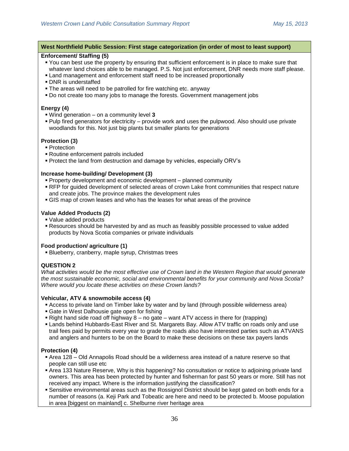### **West Northfield Public Session: First stage categorization (in order of most to least support)**

### **Enforcement/ Staffing (5)**

- You can best use the property by ensuring that sufficient enforcement is in place to make sure that whatever land choices able to be managed. P.S. Not just enforcement, DNR needs more staff please.
- Land management and enforcement staff need to be increased proportionally
- DNR is understaffed
- The areas will need to be patrolled for fire watching etc. anyway
- Do not create too many jobs to manage the forests. Government management jobs

### **Energy (4)**

- Wind generation on a community level **3**
- Pulp fired generators for electricity provide work and uses the pulpwood. Also should use private woodlands for this. Not just big plants but smaller plants for generations

### **Protection (3)**

- **Protection**
- Routine enforcement patrols included
- Protect the land from destruction and damage by vehicles, especially ORV's

### **Increase home-building/ Development (3)**

- Property development and economic development planned community
- RFP for guided development of selected areas of crown Lake front communities that respect nature and create jobs. The province makes the development rules
- GIS map of crown leases and who has the leases for what areas of the province

## **Value Added Products (2)**

- Value added products
- Resources should be harvested by and as much as feasibly possible processed to value added products by Nova Scotia companies or private individuals

#### **Food production/ agriculture (1)**

Blueberry, cranberry, maple syrup, Christmas trees

## **QUESTION 2**

*What activities would be the most effective use of Crown land in the Western Region that would generate the most sustainable economic, social and environmental benefits for your community and Nova Scotia? Where would you locate these activities on these Crown lands?*

#### **Vehicular, ATV & snowmobile access (4)**

- Access to private land on Timber lake by water and by land (through possible wilderness area)
- Gate in West Dalhousie gate open for fishing
- Right hand side road off highway  $8 no$  gate want ATV access in there for (trapping)
- Lands behind Hubbards-East River and St. Margarets Bay. Allow ATV traffic on roads only and use trail fees paid by permits every year to grade the roads also have interested parties such as ATVANS and anglers and hunters to be on the Board to make these decisions on these tax payers lands

#### **Protection (4)**

- Area 128 Old Annapolis Road should be a wilderness area instead of a nature reserve so that people can still use etc
- Area 133 Nature Reserve, Why is this happening? No consultation or notice to adjoining private land owners. This area has been protected by hunter and fisherman for past 50 years or more. Still has not received any impact. Where is the information justifying the classification?
- Sensitive environmental areas such as the Rossignol District should be kept gated on both ends for a number of reasons (a. Keji Park and Tobeatic are here and need to be protected b. Moose population in area [biggest on mainland] c. Shelburne river heritage area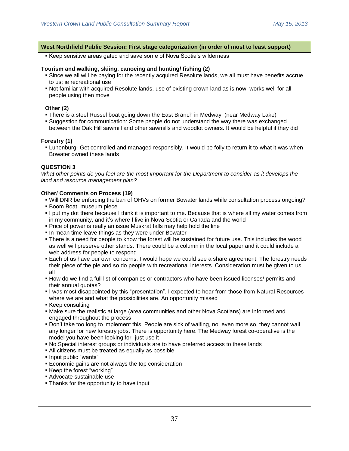#### **West Northfield Public Session: First stage categorization (in order of most to least support)**

Keep sensitive areas gated and save some of Nova Scotia's wilderness

#### **Tourism and walking, skiing, canoeing and hunting/ fishing (2)**

- Since we all will be paying for the recently acquired Resolute lands, we all must have benefits accrue to us; ie recreational use
- Not familiar with acquired Resolute lands, use of existing crown land as is now, works well for all people using then move

#### **Other (2)**

- There is a steel Russel boat going down the East Branch in Medway. (near Medway Lake)
- Suggestion for communication: Some people do not understand the way there was exchanged between the Oak Hill sawmill and other sawmills and woodlot owners. It would be helpful if they did

#### **Forestry (1)**

 Lunenburg- Get controlled and managed responsibly. It would be folly to return it to what it was when Bowater owned these lands

### **QUESTION 3**

*What other points do you feel are the most important for the Department to consider as it develops the land and resource management plan?*

#### **Other/ Comments on Process (19)**

- Will DNR be enforcing the ban of OHVs on former Bowater lands while consultation process ongoing?
- Boom Boat, museum piece
- I put my dot there because I think it is important to me. Because that is where all my water comes from in my community, and it's where I live in Nova Scotia or Canada and the world
- Price of power is really an issue Muskrat falls may help hold the line
- In mean time leave things as they were under Bowater
- There is a need for people to know the forest will be sustained for future use. This includes the wood as well will preserve other stands. There could be a column in the local paper and it could include a web address for people to respond
- Each of us have our own concerns. I would hope we could see a share agreement. The forestry needs their piece of the pie and so do people with recreational interests. Consideration must be given to us all
- How do we find a full list of companies or contractors who have been issued licenses/ permits and their annual quotas?
- I was most disappointed by this "presentation". I expected to hear from those from Natural Resources where we are and what the possibilities are. An opportunity missed
- Keep consulting
- Make sure the realistic at large (area communities and other Nova Scotians) are informed and engaged throughout the process
- Don't take too long to implement this. People are sick of waiting, no, even more so, they cannot wait any longer for new forestry jobs. There is opportunity here. The Medway forest co-operative is the model you have been looking for- just use it
- No Special interest groups or individuals are to have preferred access to these lands
- All citizens must be treated as equally as possible
- Input public "wants"
- **Economic gains are not always the top consideration**
- Keep the forest "working"
- Advocate sustainable use
- **Thanks for the opportunity to have input**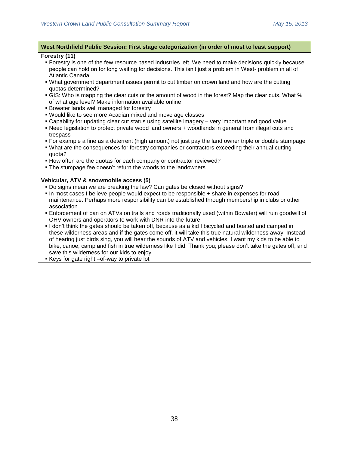### **West Northfield Public Session: First stage categorization (in order of most to least support)**

### **Forestry (11)**

- Forestry is one of the few resource based industries left. We need to make decisions quickly because people can hold on for long waiting for decisions. This isn't just a problem in West- problem in all of Atlantic Canada
- What government department issues permit to cut timber on crown land and how are the cutting quotas determined?
- **GIS:** Who is mapping the clear cuts or the amount of wood in the forest? Map the clear cuts. What % of what age level? Make information available online
- Bowater lands well managed for forestry
- Would like to see more Acadian mixed and move age classes
- Capability for updating clear cut status using satellite imagery very important and good value.
- Need legislation to protect private wood land owners + woodlands in general from illegal cuts and trespass
- For example a fine as a deterrent (high amount) not just pay the land owner triple or double stumpage
- What are the consequences for forestry companies or contractors exceeding their annual cutting quota?
- How often are the quotas for each company or contractor reviewed?
- The stumpage fee doesn't return the woods to the landowners

### **Vehicular, ATV & snowmobile access (5)**

- Do signs mean we are breaking the law? Can gates be closed without signs?
- In most cases I believe people would expect to be responsible + share in expenses for road maintenance. Perhaps more responsibility can be established through membership in clubs or other association
- Enforcement of ban on ATVs on trails and roads traditionally used (within Bowater) will ruin goodwill of OHV owners and operators to work with DNR into the future
- I don't think the gates should be taken off, because as a kid I bicycled and boated and camped in these wilderness areas and if the gates come off, it will take this true natural wilderness away. Instead of hearing just birds sing, you will hear the sounds of ATV and vehicles. I want my kids to be able to bike, canoe, camp and fish in true wilderness like I did. Thank you; please don't take the gates off, and save this wilderness for our kids to enjoy
- Keys for gate right –of-way to private lot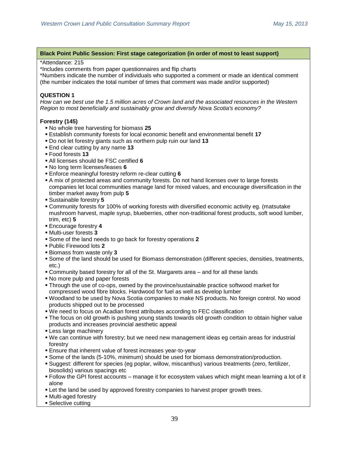### \*Attendance: 215

\*Includes comments from paper questionnaires and flip charts

\*Numbers indicate the number of individuals who supported a comment or made an identical comment (the number indicates the total number of times that comment was made and/or supported)

### **QUESTION 1**

*How can we best use the 1.5 million acres of Crown land and the associated resources in the Western Region to most beneficially and sustainably grow and diversify Nova Scotia's economy?*

### **Forestry (145)**

- No whole tree harvesting for biomass **25**
- Establish community forests for local economic benefit and environmental benefit **17**
- Do not let forestry giants such as northern pulp ruin our land **13**
- End clear cutting by any name **13**
- Food forests **13**
- All licenses should be FSC certified **6**
- No long term licenses/leases **6**
- Enforce meaningful forestry reform re-clear cutting **6**
- A mix of protected areas and community forests. Do not hand licenses over to large forests companies let local communities manage land for mixed values, and encourage diversification in the timber market away from pulp **5**
- Sustainable forestry **5**
- Community forests for 100% of working forests with diversified economic activity eg. (matsutake mushroom harvest, maple syrup, blueberries, other non-traditional forest products, soft wood lumber, trim, etc) **5**
- Encourage forestry **4**
- Multi-user forests **3**
- Some of the land needs to go back for forestry operations **2**
- Public Firewood lots **2**
- Biomass from waste only **3**
- Some of the land should be used for Biomass demonstration (different species, densities, treatments, etc.)
- Community based forestry for all of the St. Margarets area and for all these lands
- No more pulp and paper forests
- Through the use of co-ops, owned by the province/sustainable practice softwood market for compressed wood fibre blocks. Hardwood for fuel as well as develop lumber
- Woodland to be used by Nova Scotia companies to make NS products. No foreign control. No wood products shipped out to be processed
- We need to focus on Acadian forest attributes according to FEC classification
- The focus on old growth is pushing young stands towards old growth condition to obtain higher value products and increases provincial aesthetic appeal
- Less large machinery
- We can continue with forestry; but we need new management ideas eg certain areas for industrial forestry
- Ensure that inherent value of forest increases year-to-year
- Some of the lands (5-10%, minimum) should be used for biomass demonstration/production.
- Suggest: different for species (eg poplar, willow, miscanthus) various treatments (zero, fertilizer, biosolids) various spacings etc
- Follow the GPI forest accounts manage it for ecosystem values which might mean learning a lot of it alone
- **Let the land be used by approved forestry companies to harvest proper growth trees.**
- Multi-aged forestry
- Selective cutting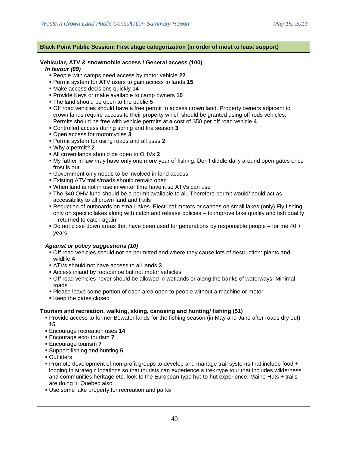## **Vehicular, ATV & snowmobile access / General access (100)**

*In favour (89)*

- People with camps need access by motor vehicle **22**
- Permit system for ATV users to gain access to lands **15**
- Make access decisions quickly **14**
- Provide Keys or make available to camp owners **10**
- The land should be open to the public **5**
- Off road vehicles should have a free permit to access crown land. Property owners adjacent to crown lands require access to their property which should be granted using off rods vehicles. Permits should be free with vehicle permits at a cost of \$50 per off road vehicle **4**
- Controlled access during spring and fire season **3**
- Open access for motorcycles **3**
- Permit system for using roads and all uses **2**
- Why a permit? **2**
- All crown lands should be open to OHVs **2**
- My father in law may have only one more year of fishing. Don't diddle dally around open gates once frost is out
- Government only needs to be involved in land access
- Existing ATV trails/roads should remain open
- When land is not in use in winter time have it so ATVs can use
- The \$40 OHV fund should be a permit available to all. Therefore permit would/ could act as accessibility to all crown land and trails
- Reduction of outboards on small lakes. Electrical motors or canoes on small lakes (only) Fly fishing only on specific lakes along with catch and release policies – to improve lake quality and fish quality – returned to catch again
- Do not close down areas that have been used for generations by responsible people for me  $40 +$ years

## *Against or policy suggestions (10)*

- Off road vehicles should not be permitted and where they cause lots of destruction: plants and wildlife **4**
- ATVs should not have access to all lands **3**
- Access inland by foot/canoe but not motor vehicles
- Off road vehicles never should be allowed in wetlands or along the banks of waterways. Minimal roads
- Please leave some portion of each area open to people without a machine or motor
- Keep the gates closed

#### **Tourism and recreation, walking, skiing, canoeing and hunting/ fishing (51)**

- Provide access to former Bowater lands for the fishing season (in May and June after roads dry out) **15**
- Encourage recreation uses **14**
- Encourage eco- tourism **7**
- Encourage tourism **7**
- Support fishing and hunting **5**
- **Outfitters**
- Promote development of non-profit groups to develop and manage trail systems that include food + lodging in strategic locations so that tourists can experience a trek-type tour that includes wilderness and communities heritage etc. look to the European type hut-to-hut experience, Maine Huts + trails are doing it, Quebec also
- Use some lake property for recreation and parks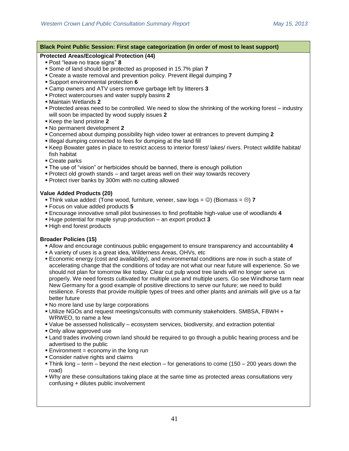| Black Point Public Session: First stage categorization (in order of most to least support)                                                                                                              |
|---------------------------------------------------------------------------------------------------------------------------------------------------------------------------------------------------------|
| <b>Protected Areas/Ecological Protection (44)</b>                                                                                                                                                       |
| • Post "leave no trace signs" 8                                                                                                                                                                         |
| Some of land should be protected as proposed in 15.7% plan 7                                                                                                                                            |
| • Create a waste removal and prevention policy. Prevent illegal dumping 7                                                                                                                               |
| • Support environmental protection 6                                                                                                                                                                    |
| • Camp owners and ATV users remove garbage left by litterers 3                                                                                                                                          |
| Protect watercourses and water supply basins 2                                                                                                                                                          |
| • Maintain Wetlands 2                                                                                                                                                                                   |
| • Protected areas need to be controlled. We need to slow the shrinking of the working forest – industry                                                                                                 |
| will soon be impacted by wood supply issues 2<br>Keep the land pristine 2                                                                                                                               |
| . No permanent development 2                                                                                                                                                                            |
| • Concerned about dumping possibility high video tower at entrances to prevent dumping 2                                                                                                                |
| . Illegal dumping connected to fees for dumping at the land fill                                                                                                                                        |
| • Keep Bowater gates in place to restrict access to interior forest/ lakes/ rivers. Protect wildlife habitat/                                                                                           |
| fish habitat                                                                                                                                                                                            |
| ■ Create parks                                                                                                                                                                                          |
| • The use of "vision" or herbicides should be banned, there is enough pollution                                                                                                                         |
| • Protect old growth stands – and target areas well on their way towards recovery                                                                                                                       |
| • Protect river banks by 300m with no cutting allowed                                                                                                                                                   |
| <b>Value Added Products (20)</b>                                                                                                                                                                        |
| • Think value added: (Tone wood, furniture, veneer, saw logs = $\circledcirc$ ) (Biomass = $\circledcirc$ ) 7                                                                                           |
| " Focus on value added products 5                                                                                                                                                                       |
| <b>Encourage innovative small pilot businesses to find profitable high-value use of woodlands 4</b>                                                                                                     |
| . Huge potential for maple syrup production - an export product 3                                                                                                                                       |
| . High end forest products                                                                                                                                                                              |
|                                                                                                                                                                                                         |
| <b>Broader Policies (15)</b>                                                                                                                                                                            |
| . Allow and encourage continuous public engagement to ensure transparency and accountability 4                                                                                                          |
| A variety of uses is a great idea, Wilderness Areas, OHVs, etc                                                                                                                                          |
| <b>Economic energy (cost and availability), and environmental conditions are now in such a state of</b>                                                                                                 |
| accelerating change that the conditions of today are not what our near future will experience. So we<br>should not plan for tomorrow like today. Clear cut pulp wood tree lands will no longer serve us |
| properly. We need forests cultivated for multiple use and multiple users. Go see Windhorse farm near                                                                                                    |
| New Germany for a good example of positive directions to serve our future; we need to build                                                                                                             |
| resilience. Forests that provide multiple types of trees and other plants and animals will give us a far                                                                                                |
| better future                                                                                                                                                                                           |
| . No more land use by large corporations                                                                                                                                                                |
| . Utilize NGOs and request meetings/consults with community stakeholders. SMBSA, FBWH +                                                                                                                 |
| WRWEO, to name a few                                                                                                                                                                                    |
| • Value be assessed holistically – ecosystem services, biodiversity, and extraction potential                                                                                                           |
| . Only allow approved use                                                                                                                                                                               |
| Land trades involving crown land should be required to go through a public hearing process and be                                                                                                       |
| advertised to the public                                                                                                                                                                                |
| $\blacksquare$ Environment = economy in the long run<br>• Consider native rights and claims                                                                                                             |
| • Think long – term – beyond the next election – for generations to come (150 – 200 years down the                                                                                                      |
| road)                                                                                                                                                                                                   |
| . Why are these consultations taking place at the same time as protected areas consultations very                                                                                                       |
| confusing + dilutes public involvement                                                                                                                                                                  |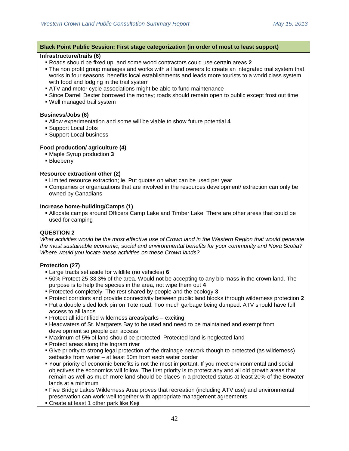### **Infrastructure/trails (6)**

- Roads should be fixed up, and some wood contractors could use certain areas **2**
- The non profit group manages and works with all land owners to create an integrated trail system that works in four seasons, benefits local establishments and leads more tourists to a world class system with food and lodging in the trail system
- ATV and motor cycle associations might be able to fund maintenance
- Since Darrell Dexter borrowed the money; roads should remain open to public except frost out time
- Well managed trail system

### **Business/Jobs (6)**

- Allow experimentation and some will be viable to show future potential **4**
- Support Local Jobs
- Support Local business

## **Food production/ agriculture (4)**

- Maple Syrup production **3**
- **Blueberry**

### **Resource extraction/ other (2)**

- Limited resource extraction; ie. Put quotas on what can be used per year
- Companies or organizations that are involved in the resources development/ extraction can only be owned by Canadians

### **Increase home-building/Camps (1)**

 Allocate camps around Officers Camp Lake and Timber Lake. There are other areas that could be used for camping

## **QUESTION 2**

*What activities would be the most effective use of Crown land in the Western Region that would generate the most sustainable economic, social and environmental benefits for your community and Nova Scotia? Where would you locate these activities on these Crown lands?*

#### **Protection (27)**

- Large tracts set aside for wildlife (no vehicles) **6**
- 50% Protect 25-33.3% of the area. Would not be accepting to any bio mass in the crown land. The purpose is to help the species in the area, not wipe them out **4**
- Protected completely. The rest shared by people and the ecology **3**
- Protect corridors and provide connectivity between public land blocks through wilderness protection **2**
- Put a double sided lock pin on Tote road. Too much garbage being dumped. ATV should have full access to all lands
- Protect all identified wilderness areas/parks exciting
- Headwaters of St. Margarets Bay to be used and need to be maintained and exempt from development so people can access
- Maximum of 5% of land should be protected. Protected land is neglected land
- **Protect areas along the Ingram river**
- Give priority to strong legal protection of the drainage network though to protected (as wilderness) setbacks from water – at least 50m from each water border
- Your priority of economic benefits is not the most important. If you meet environmental and social objectives the economics will follow. The first priority is to protect any and all old growth areas that remain as well as much more land should be places in a protected status at least 20% of the Bowater lands at a minimum
- Five Bridge Lakes Wilderness Area proves that recreation (including ATV use) and environmental preservation can work well together with appropriate management agreements
- Create at least 1 other park like Keji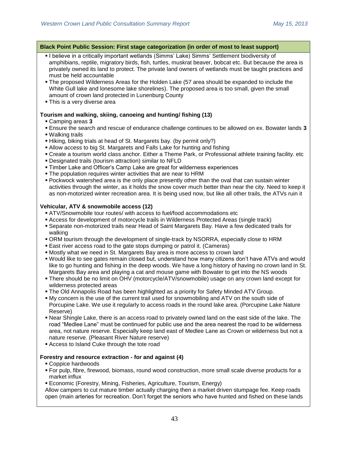| Black Point Public Session: First stage categorization (in order of most to least support)                                                                                                                                                                                                                                                                                                                                                                                                                                                                                                                |  |
|-----------------------------------------------------------------------------------------------------------------------------------------------------------------------------------------------------------------------------------------------------------------------------------------------------------------------------------------------------------------------------------------------------------------------------------------------------------------------------------------------------------------------------------------------------------------------------------------------------------|--|
| . I believe in a critically important wetlands (Simms' Lake) Simms' Settlement biodiversity of<br>amphibians, reptile, migratory birds, fish, turtles, muskrat beaver, bobcat etc. But because the area is<br>privately owned its land to protect. The private land owners of wetlands must be taught practices and<br>must be held accountable<br>. The proposed Wilderness Areas for the Holden Lake (57 area should be expanded to include the<br>White Gull lake and lonesome lake shorelines). The proposed area is too small, given the small<br>amount of crown land protected in Lunenburg County |  |
| . This is a very diverse area                                                                                                                                                                                                                                                                                                                                                                                                                                                                                                                                                                             |  |
| Tourism and walking, skiing, canoeing and hunting/ fishing (13)<br>• Camping areas 3<br><b>Ensure the search and rescue of endurance challenge continues to be allowed on ex. Bowater lands 3</b>                                                                                                                                                                                                                                                                                                                                                                                                         |  |
| ■ Walking trails<br>. Hiking, biking trials at head of St. Margarets bay. (by permit only?)<br>• Allow access to big St. Margarets and Falls Lake for hunting and fishing                                                                                                                                                                                                                                                                                                                                                                                                                                 |  |
| • Create a tourism world class anchor. Either a Theme Park, or Professional athlete training facility. etc<br>. Designated trails (tourism attraction) similar to NFLD                                                                                                                                                                                                                                                                                                                                                                                                                                    |  |
| • Timber Lake and Officer's Camp Lake are great for wilderness experiences<br>. The population requires winter activities that are near to HRM                                                                                                                                                                                                                                                                                                                                                                                                                                                            |  |
| • Pockwock watershed area is the only place presently other than the oval that can sustain winter<br>activities through the winter, as it holds the snow cover much better than near the city. Need to keep it<br>as non-motorized winter recreation area. It is being used now, but like all other trails, the ATVs ruin it                                                                                                                                                                                                                                                                              |  |
| Vehicular, ATV & snowmobile access (12)                                                                                                                                                                                                                                                                                                                                                                                                                                                                                                                                                                   |  |
| ATV/Snowmobile tour routes/ with access to fuel/food accommodations etc<br>Access for development of motorcycle trails in Wilderness Protected Areas (single track)<br>• Separate non-motorized trails near Head of Saint Margarets Bay. Have a few dedicated trails for<br>walking                                                                                                                                                                                                                                                                                                                       |  |
| • ORM tourism through the development of single-track by NSORRA, especially close to HRM<br>■ East river access road to the gate stops dumping or patrol it. (Cameras)                                                                                                                                                                                                                                                                                                                                                                                                                                    |  |
| • Mostly what we need in St. Margarets Bay area is more access to crown land<br>. Would like to see gates remain closed but, understand how many citizens don't have ATVs and would<br>like to go hunting and fishing in the deep woods. We have a long history of having no crown land in St.<br>Margarets Bay area and playing a cat and mouse game with Bowater to get into the NS woods<br>. There should be no limit on OHV (motorcycle/ATV/snowmobile) usage on any crown land except for<br>wilderness protected areas                                                                             |  |
| . The Old Annapolis Road has been highlighted as a priority for Safety Minded ATV Group.<br>■ My concern is the use of the current trail used for snowmobiling and ATV on the south side of<br>Porcupine Lake. We use it regularly to access roads in the round lake area. (Porcupine Lake Nature<br>Reserve)                                                                                                                                                                                                                                                                                             |  |
| . Near Shingle Lake, there is an access road to privately owned land on the east side of the lake. The<br>road "Medlee Lane" must be continued for public use and the area nearest the road to be wilderness<br>area, not nature reserve. Especially keep land east of Medlee Lane as Crown or wilderness but not a<br>nature reserve. (Pleasant River Nature reserve)<br>Access to Island Cuke through the tote road                                                                                                                                                                                     |  |
| Forestry and resource extraction - for and against (4)                                                                                                                                                                                                                                                                                                                                                                                                                                                                                                                                                    |  |
| • Coppice hardwoods<br>• For pulp, fibre, firewood, biomass, round wood construction, more small scale diverse products for a<br>market influx                                                                                                                                                                                                                                                                                                                                                                                                                                                            |  |
| • Economic (Forestry, Mining, Fisheries, Agriculture, Tourism, Energy)<br>Allow campers to cut mature timber actually charging then a market driven stumpage fee. Keep roads<br>open (main arteries for recreation. Don't forget the seniors who have hunted and fished on these lands                                                                                                                                                                                                                                                                                                                    |  |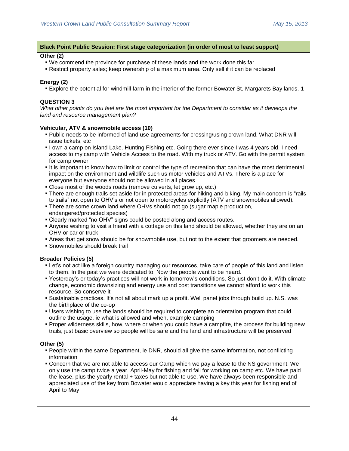### **Other (2)**

- We commend the province for purchase of these lands and the work done this far
- Restrict property sales; keep ownership of a maximum area. Only sell if it can be replaced

## **Energy (2)**

Explore the potential for windmill farm in the interior of the former Bowater St. Margarets Bay lands. **1**

## **QUESTION 3**

*What other points do you feel are the most important for the Department to consider as it develops the land and resource management plan?*

### **Vehicular, ATV & snowmobile access (10)**

- Public needs to be informed of land use agreements for crossing/using crown land. What DNR will issue tickets, etc
- I own a camp on Island Lake. Hunting Fishing etc. Going there ever since I was 4 years old. I need access to my camp with Vehicle Access to the road. With my truck or ATV. Go with the permit system for camp owner
- If is important to know how to limit or control the type of recreation that can have the most detrimental impact on the environment and wildlife such us motor vehicles and ATVs. There is a place for everyone but everyone should not be allowed in all places
- Close most of the woods roads (remove culverts, let grow up, etc.)
- There are enough trails set aside for in protected areas for hiking and biking. My main concern is "rails to trails" not open to OHV's or not open to motorcycles explicitly (ATV and snowmobiles allowed).
- There are some crown land where OHVs should not go (sugar maple production, endangered/protected species)
- Clearly marked "no OHV" signs could be posted along and access routes.
- Anyone wishing to visit a friend with a cottage on this land should be allowed, whether they are on an OHV or car or truck
- Areas that get snow should be for snowmobile use, but not to the extent that groomers are needed.
- Snowmobiles should break trail

## **Broader Policies (5)**

- Let's not act like a foreign country managing our resources, take care of people of this land and listen to them. In the past we were dedicated to. Now the people want to be heard.
- Yesterday's or today's practices will not work in tomorrow's conditions. So just don't do it. With climate change, economic downsizing and energy use and cost transitions we cannot afford to work this resource. So conserve it
- Sustainable practices. It's not all about mark up a profit. Well panel jobs through build up. N.S. was the birthplace of the co-op
- Users wishing to use the lands should be required to complete an orientation program that could outline the usage, ie what is allowed and when, example camping
- Proper wilderness skills, how, where or when you could have a campfire, the process for building new trails, just basic overview so people will be safe and the land and infrastructure will be preserved

## **Other (5)**

- People within the same Department, ie DNR, should all give the same information, not conflicting information
- Concern that we are not able to access our Camp which we pay a lease to the NS government. We only use the camp twice a year. April-May for fishing and fall for working on camp etc. We have paid the lease, plus the yearly rental + taxes but not able to use. We have always been responsible and appreciated use of the key from Bowater would appreciate having a key this year for fishing end of April to May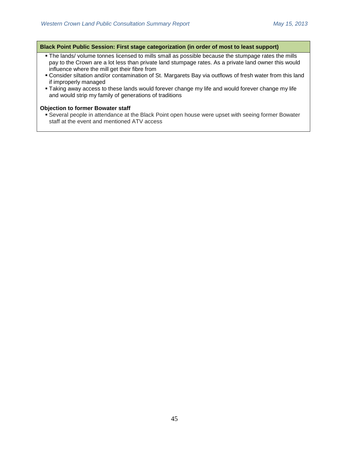- **The lands/ volume tonnes licensed to mills small as possible because the stumpage rates the mills** pay to the Crown are a lot less than private land stumpage rates. As a private land owner this would influence where the mill get their fibre from
- Consider siltation and/or contamination of St. Margarets Bay via outflows of fresh water from this land if improperly managed
- Taking away access to these lands would forever change my life and would forever change my life and would strip my family of generations of traditions

#### **Objection to former Bowater staff**

 Several people in attendance at the Black Point open house were upset with seeing former Bowater staff at the event and mentioned ATV access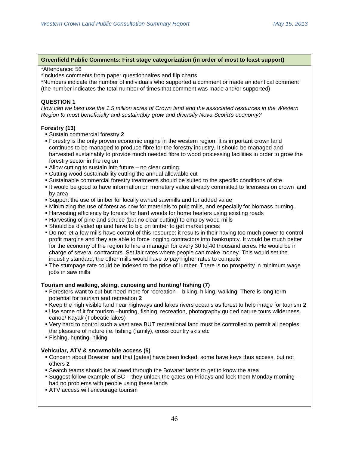### **Greenfield Public Comments: First stage categorization (in order of most to least support)**

#### \*Attendance: 56

\*Includes comments from paper questionnaires and flip charts

\*Numbers indicate the number of individuals who supported a comment or made an identical comment (the number indicates the total number of times that comment was made and/or supported)

## **QUESTION 1**

*How can we best use the 1.5 million acres of Crown land and the associated resources in the Western Region to most beneficially and sustainably grow and diversify Nova Scotia's economy?*

## **Forestry (13)**

- Sustain commercial forestry **2**
- **Forestry is the only proven economic engine in the western region. It is important crown land** continues to be managed to produce fibre for the forestry industry. It should be managed and harvested sustainably to provide much needed fibre to wood processing facilities in order to grow the forestry sector in the region
- Allow cutting to sustain into future no clear cutting.
- Cutting wood sustainability cutting the annual allowable cut
- Sustainable commercial forestry treatments should be suited to the specific conditions of site
- It would be good to have information on monetary value already committed to licensees on crown land by area
- Support the use of timber for locally owned sawmills and for added value
- Minimizing the use of forest as now for materials to pulp mills, and especially for biomass burning.
- **Harvesting efficiency by forests for hard woods for home heaters using existing roads**
- Harvesting of pine and spruce (but no clear cutting) to employ wood mills
- Should be divided up and have to bid on timber to get market prices
- Do not let a few mills have control of this resource: it results in their having too much power to control profit margins and they are able to force logging contractors into bankruptcy. It would be much better for the economy of the region to hire a manager for every 30 to 40 thousand acres. He would be in charge of several contractors. Set fair rates where people can make money. This would set the industry standard; the other mills would have to pay higher rates to compete
- The stumpage rate could be indexed to the price of lumber. There is no prosperity in minimum wage jobs in saw mills

## **Tourism and walking, skiing, canoeing and hunting/ fishing (7)**

- Foresters want to cut but need more for recreation biking, hiking, walking. There is long term potential for tourism and recreation **2**
- Keep the high visible land near highways and lakes rivers oceans as forest to help image for tourism **2**
- Use some of it for tourism –hunting, fishing, recreation, photography guided nature tours wilderness canoe/ Kayak (Tobeatic lakes)
- Very hard to control such a vast area BUT recreational land must be controlled to permit all peoples the pleasure of nature i.e. fishing (family), cross country skis etc
- Fishing, hunting, hiking

## **Vehicular, ATV & snowmobile access (5)**

- Concern about Bowater land that [gates] have been locked; some have keys thus access, but not others **2**
- Search teams should be allowed through the Bowater lands to get to know the area
- Suggest follow example of  $BC -$  they unlock the gates on Fridays and lock them Monday morning  $$ had no problems with people using these lands
- ATV access will encourage tourism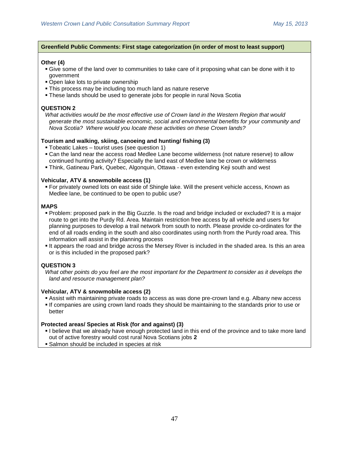### **Greenfield Public Comments: First stage categorization (in order of most to least support)**

### **Other (4)**

- Give some of the land over to communities to take care of it proposing what can be done with it to government
- Open lake lots to private ownership
- This process may be including too much land as nature reserve
- These lands should be used to generate jobs for people in rural Nova Scotia

### **QUESTION 2**

*What activities would be the most effective use of Crown land in the Western Region that would generate the most sustainable economic, social and environmental benefits for your community and Nova Scotia? Where would you locate these activities on these Crown lands?*

### **Tourism and walking, skiing, canoeing and hunting/ fishing (3)**

- Tobeatic Lakes tourist uses (see question 1)
- Can the land near the access road Medlee Lane become wilderness (not nature reserve) to allow continued hunting activity? Especially the land east of Medlee lane be crown or wilderness
- Think, Gatineau Park, Quebec, Algonquin, Ottawa even extending Keji south and west

### **Vehicular, ATV & snowmobile access (1)**

 For privately owned lots on east side of Shingle lake. Will the present vehicle access, Known as Medlee lane, be continued to be open to public use?

### **MAPS**

- Problem: proposed park in the Big Guzzle. Is the road and bridge included or excluded? It is a major route to get into the Purdy Rd. Area. Maintain restriction free access by all vehicle and users for planning purposes to develop a trail network from south to north. Please provide co-ordinates for the end of all roads ending in the south and also coordinates using north from the Purdy road area. This information will assist in the planning process
- It appears the road and bridge across the Mersey River is included in the shaded area. Is this an area or is this included in the proposed park?

## **QUESTION 3**

#### **Vehicular, ATV & snowmobile access (2)**

- Assist with maintaining private roads to access as was done pre-crown land e.g. Albany new access
- If companies are using crown land roads they should be maintaining to the standards prior to use or better

#### **Protected areas/ Species at Risk (for and against) (3)**

- I believe that we already have enough protected land in this end of the province and to take more land out of active forestry would cost rural Nova Scotians jobs **2**
- **Salmon should be included in species at risk**

*What other points do you feel are the most important for the Department to consider as it develops the land and resource management plan?*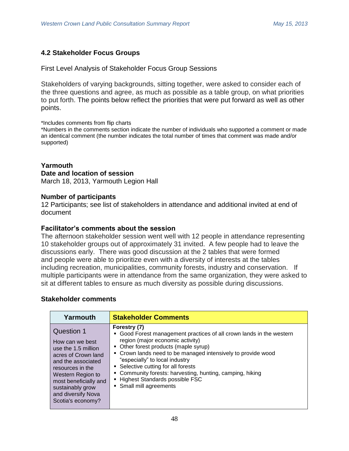## **4.2 Stakeholder Focus Groups**

First Level Analysis of Stakeholder Focus Group Sessions

Stakeholders of varying backgrounds, sitting together, were asked to consider each of the three questions and agree, as much as possible as a table group, on what priorities to put forth. The points below reflect the priorities that were put forward as well as other points.

\*Includes comments from flip charts

\*Numbers in the comments section indicate the number of individuals who supported a comment or made an identical comment (the number indicates the total number of times that comment was made and/or supported)

## **Yarmouth Date and location of session**

March 18, 2013, Yarmouth Legion Hall

## **Number of participants**

12 Participants; see list of stakeholders in attendance and additional invited at end of document

## **Facilitator's comments about the session**

The afternoon stakeholder session went well with 12 people in attendance representing 10 stakeholder groups out of approximately 31 invited. A few people had to leave the discussions early. There was good discussion at the 2 tables that were formed and people were able to prioritize even with a diversity of interests at the tables including recreation, municipalities, community forests, industry and conservation. If multiple participants were in attendance from the same organization, they were asked to sit at different tables to ensure as much diversity as possible during discussions.

| Yarmouth                                                                                                                                                                                                                                  | <b>Stakeholder Comments</b>                                                                                                                                                                                                                                                                                                                                                                                                            |
|-------------------------------------------------------------------------------------------------------------------------------------------------------------------------------------------------------------------------------------------|----------------------------------------------------------------------------------------------------------------------------------------------------------------------------------------------------------------------------------------------------------------------------------------------------------------------------------------------------------------------------------------------------------------------------------------|
| <b>Question 1</b><br>How can we best<br>use the 1.5 million<br>acres of Crown land<br>and the associated<br>resources in the<br>Western Region to<br>most beneficially and<br>sustainably grow<br>and diversify Nova<br>Scotia's economy? | Forestry (7)<br>• Good Forest management practices of all crown lands in the western<br>region (major economic activity)<br>• Other forest products (maple syrup)<br>• Crown lands need to be managed intensively to provide wood<br>"especially" to local industry<br>• Selective cutting for all forests<br>• Community forests: harvesting, hunting, camping, hiking<br>- Highest Standards possible FSC<br>• Small mill agreements |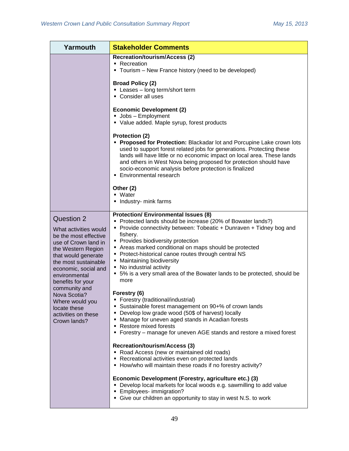| Yarmouth                                                                                                                                                                                                                                                                                                                           | <b>Stakeholder Comments</b>                                                                                                                                                                                                                                                                                                                                                                                                                                                                                                                                                                                                                                                                                                                                                                                                                                                                                                                                                                                                                      |
|------------------------------------------------------------------------------------------------------------------------------------------------------------------------------------------------------------------------------------------------------------------------------------------------------------------------------------|--------------------------------------------------------------------------------------------------------------------------------------------------------------------------------------------------------------------------------------------------------------------------------------------------------------------------------------------------------------------------------------------------------------------------------------------------------------------------------------------------------------------------------------------------------------------------------------------------------------------------------------------------------------------------------------------------------------------------------------------------------------------------------------------------------------------------------------------------------------------------------------------------------------------------------------------------------------------------------------------------------------------------------------------------|
|                                                                                                                                                                                                                                                                                                                                    | <b>Recreation/tourism/Access (2)</b><br>• Recreation<br>• Tourism – New France history (need to be developed)                                                                                                                                                                                                                                                                                                                                                                                                                                                                                                                                                                                                                                                                                                                                                                                                                                                                                                                                    |
|                                                                                                                                                                                                                                                                                                                                    | <b>Broad Policy (2)</b><br>• Leases - long term/short term<br>• Consider all uses                                                                                                                                                                                                                                                                                                                                                                                                                                                                                                                                                                                                                                                                                                                                                                                                                                                                                                                                                                |
|                                                                                                                                                                                                                                                                                                                                    | <b>Economic Development (2)</b><br>• Jobs - Employment<br>• Value added. Maple syrup, forest products                                                                                                                                                                                                                                                                                                                                                                                                                                                                                                                                                                                                                                                                                                                                                                                                                                                                                                                                            |
|                                                                                                                                                                                                                                                                                                                                    | Protection (2)<br>Proposed for Protection: Blackadar lot and Porcupine Lake crown lots<br>used to support forest related jobs for generations. Protecting these<br>lands will have little or no economic impact on local area. These lands<br>and others in West Nova being proposed for protection should have<br>socio-economic analysis before protection is finalized<br>• Environmental research                                                                                                                                                                                                                                                                                                                                                                                                                                                                                                                                                                                                                                            |
|                                                                                                                                                                                                                                                                                                                                    | Other (2)<br>- Water<br>• Industry- mink farms                                                                                                                                                                                                                                                                                                                                                                                                                                                                                                                                                                                                                                                                                                                                                                                                                                                                                                                                                                                                   |
| Question 2<br>What activities would<br>be the most effective<br>use of Crown land in<br>the Western Region<br>that would generate<br>the most sustainable<br>economic, social and<br>environmental<br>benefits for your<br>community and<br>Nova Scotia?<br>Where would you<br>locate these<br>activities on these<br>Crown lands? | <b>Protection/ Environmental Issues (8)</b><br>• Protected lands should be increase (20% of Bowater lands?)<br>• Provide connectivity between: Tobeatic + Dunraven + Tidney bog and<br>fishery.<br>• Provides biodiversity protection<br>Areas marked conditional on maps should be protected<br>• Protect-historical canoe routes through central NS<br>• Maintaining biodiversity<br>• No industrial activity<br>• 5% is a very small area of the Bowater lands to be protected, should be<br>more<br>Forestry (6)<br>• Forestry (traditional/industrial)<br>• Sustainable forest management on 90+% of crown lands<br>• Develop low grade wood (50\$ of harvest) locally<br>• Manage for uneven aged stands in Acadian forests<br>• Restore mixed forests<br>• Forestry – manage for uneven AGE stands and restore a mixed forest<br><b>Recreation/tourism/Access (3)</b><br>• Road Access (new or maintained old roads)<br>• Recreational activities even on protected lands<br>• How/who will maintain these roads if no forestry activity? |
|                                                                                                                                                                                                                                                                                                                                    | Economic Development (Forestry, agriculture etc.) (3)<br>• Develop local markets for local woods e.g. sawmilling to add value<br><b>Employees-</b> immigration?<br>• Give our children an opportunity to stay in west N.S. to work                                                                                                                                                                                                                                                                                                                                                                                                                                                                                                                                                                                                                                                                                                                                                                                                               |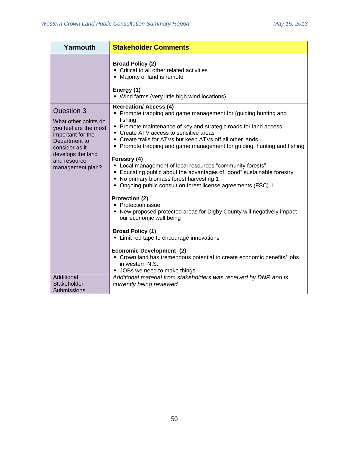| Yarmouth                                                                                                                                                                            | <b>Stakeholder Comments</b>                                                                                                                                                                                                                                                                                                                                                                                                                                                                                                                                                                                                                                                                                                                                                                                                                                                                                                                                                                                                |
|-------------------------------------------------------------------------------------------------------------------------------------------------------------------------------------|----------------------------------------------------------------------------------------------------------------------------------------------------------------------------------------------------------------------------------------------------------------------------------------------------------------------------------------------------------------------------------------------------------------------------------------------------------------------------------------------------------------------------------------------------------------------------------------------------------------------------------------------------------------------------------------------------------------------------------------------------------------------------------------------------------------------------------------------------------------------------------------------------------------------------------------------------------------------------------------------------------------------------|
|                                                                                                                                                                                     | <b>Broad Policy (2)</b><br>• Critical to all other related activities<br>• Majority of land is remote<br>Energy (1)<br>• Wind farms (very little high wind locations)                                                                                                                                                                                                                                                                                                                                                                                                                                                                                                                                                                                                                                                                                                                                                                                                                                                      |
| <b>Question 3</b><br>What other points do<br>you feel are the most<br>important for the<br>Department to<br>consider as it<br>develops the land<br>and resource<br>management plan? | <b>Recreation/ Access (4)</b><br>• Promote trapping and game management for (guiding hunting and<br>fishing<br>• Promote maintenance of key and strategic roads for land access<br>• Create ATV access to sensitive areas<br>• Create trails for ATVs but keep ATVs off all other lands<br>• Promote trapping and game management for guiding, hunting and fishing<br>Forestry (4)<br>• Local management of local resources "community forests"<br>Educating public about the advantages of "good" sustainable forestry<br>• No primary biomass forest harvesting 1<br>• Ongoing public consult on forest license agreements (FSC) 1<br>Protection (2)<br>• Protection issue<br>• New proposed protected areas for Digby County will negatively impact<br>our economic well being<br><b>Broad Policy (1)</b><br>• Limit red tape to encourage innovations<br><b>Economic Development (2)</b><br>• Crown land has tremendous potential to create economic benefits/jobs<br>in western N.S.<br>• JOBs we need to make things |
| Additional<br>Stakeholder<br>Submissions                                                                                                                                            | Additional material from stakeholders was received by DNR and is<br>currently being reviewed.                                                                                                                                                                                                                                                                                                                                                                                                                                                                                                                                                                                                                                                                                                                                                                                                                                                                                                                              |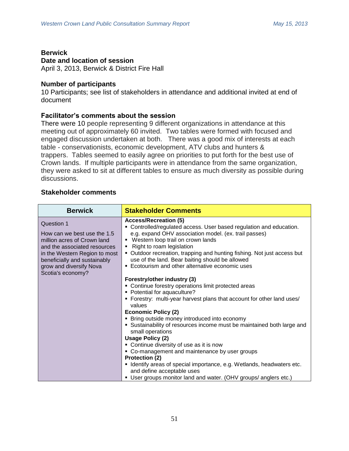## **Berwick**

## **Date and location of session**

April 3, 2013, Berwick & District Fire Hall

## **Number of participants**

10 Participants; see list of stakeholders in attendance and additional invited at end of document

## **Facilitator's comments about the session**

There were 10 people representing 9 different organizations in attendance at this meeting out of approximately 60 invited. Two tables were formed with focused and engaged discussion undertaken at both. There was a good mix of interests at each table - conservationists, economic development, ATV clubs and hunters & trappers. Tables seemed to easily agree on priorities to put forth for the best use of Crown lands. If multiple participants were in attendance from the same organization, they were asked to sit at different tables to ensure as much diversity as possible during discussions.

| <b>Berwick</b>                                                                                                                                                                                                                   | <b>Stakeholder Comments</b>                                                                                                                                                                                                                                                                                                                                                                                                                                                                                                                                                                                                                                                                                 |
|----------------------------------------------------------------------------------------------------------------------------------------------------------------------------------------------------------------------------------|-------------------------------------------------------------------------------------------------------------------------------------------------------------------------------------------------------------------------------------------------------------------------------------------------------------------------------------------------------------------------------------------------------------------------------------------------------------------------------------------------------------------------------------------------------------------------------------------------------------------------------------------------------------------------------------------------------------|
| <b>Question 1</b><br>How can we best use the 1.5<br>million acres of Crown land<br>and the associated resources<br>in the Western Region to most<br>beneficially and sustainably<br>grow and diversify Nova<br>Scotia's economy? | <b>Access/Recreation (5)</b><br>• Controlled/regulated access. User based regulation and education.<br>e.g. expand OHV association model. (ex. trail passes)<br>Western loop trail on crown lands<br>Right to roam legislation<br>• Outdoor recreation, trapping and hunting fishing. Not just access but<br>use of the land. Bear baiting should be allowed<br>• Ecotourism and other alternative economic uses                                                                                                                                                                                                                                                                                            |
|                                                                                                                                                                                                                                  | Forestry/other industry (3)<br>• Continue forestry operations limit protected areas<br>• Potential for aquaculture?<br>• Forestry: multi-year harvest plans that account for other land uses/<br>values<br><b>Economic Policy (2)</b><br>• Bring outside money introduced into economy<br>• Sustainability of resources income must be maintained both large and<br>small operations<br><b>Usage Policy (2)</b><br>• Continue diversity of use as it is now<br>• Co-management and maintenance by user groups<br>Protection (2)<br>• Identify areas of special importance, e.g. Wetlands, headwaters etc.<br>and define acceptable uses<br>• User groups monitor land and water. (OHV groups/ anglers etc.) |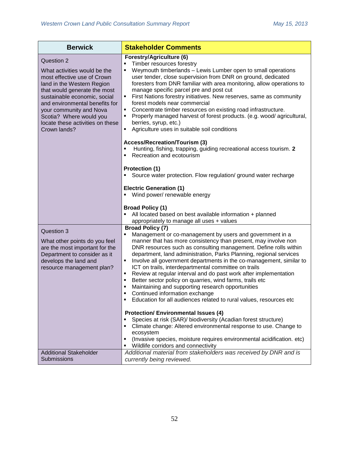| <b>Berwick</b>                                                                                                                                                                                                                                                                                                      | <b>Stakeholder Comments</b>                                                                                                                                                                                                                                                                                                                                                                                                                                                                                                                                                                                                                                                                                                                                                 |
|---------------------------------------------------------------------------------------------------------------------------------------------------------------------------------------------------------------------------------------------------------------------------------------------------------------------|-----------------------------------------------------------------------------------------------------------------------------------------------------------------------------------------------------------------------------------------------------------------------------------------------------------------------------------------------------------------------------------------------------------------------------------------------------------------------------------------------------------------------------------------------------------------------------------------------------------------------------------------------------------------------------------------------------------------------------------------------------------------------------|
| Question 2<br>What activities would be the<br>most effective use of Crown<br>land in the Western Region<br>that would generate the most<br>sustainable economic, social<br>and environmental benefits for<br>your community and Nova<br>Scotia? Where would you<br>locate these activities on these<br>Crown lands? | Forestry/Agriculture (6)<br>Timber resources forestry<br>$\blacksquare$<br>Weymouth timberlands - Lewis Lumber open to small operations<br>٠<br>user tender, close supervision from DNR on ground, dedicated<br>foresters from DNR familiar with area monitoring, allow operations to<br>manage specific parcel pre and post cut<br>First Nations forestry initiatives. New reserves, same as community<br>forest models near commercial<br>Concentrate timber resources on existing road infrastructure.<br>Properly managed harvest of forest products. (e.g. wood/agricultural,<br>٠<br>berries, syrup, etc.)<br>Agriculture uses in suitable soil conditions<br>٠                                                                                                       |
|                                                                                                                                                                                                                                                                                                                     | <b>Access/Recreation/Tourism (3)</b><br>Hunting, fishing, trapping, guiding recreational access tourism. 2<br>Е<br>Recreation and ecotourism<br>٠<br>Protection (1)<br>Source water protection. Flow regulation/ ground water recharge                                                                                                                                                                                                                                                                                                                                                                                                                                                                                                                                      |
|                                                                                                                                                                                                                                                                                                                     | <b>Electric Generation (1)</b><br>Wind power/ renewable energy<br>٠                                                                                                                                                                                                                                                                                                                                                                                                                                                                                                                                                                                                                                                                                                         |
|                                                                                                                                                                                                                                                                                                                     | <b>Broad Policy (1)</b><br>$\blacksquare$<br>All located based on best available information + planned<br>appropriately to manage all uses + values                                                                                                                                                                                                                                                                                                                                                                                                                                                                                                                                                                                                                         |
| Question 3<br>What other points do you feel<br>are the most important for the<br>Department to consider as it<br>develops the land and<br>resource management plan?                                                                                                                                                 | <b>Broad Policy (7)</b><br>Management or co-management by users and government in a<br>٠<br>manner that has more consistency than present, may involve non<br>DNR resources such as consulting management. Define rolls within<br>department, land administration, Parks Planning, regional services<br>Involve all government departments in the co-management, similar to<br>٠<br>ICT on trails, interdepartmental committee on trails<br>Review at regular interval and do past work after implementation<br>٠<br>Better sector policy on quarries, wind farms, trails etc<br>$\blacksquare$<br>Maintaining and supporting research opportunities<br>٠<br>Continued information exchange<br>٠<br>Education for all audiences related to rural values, resources etc<br>٠ |
|                                                                                                                                                                                                                                                                                                                     | <b>Protection/ Environmental Issues (4)</b><br>Species at risk (SAR)/ biodiversity (Acadian forest structure)<br>٠<br>Climate change: Altered environmental response to use. Change to<br>٠<br>ecosystem<br>(Invasive species, moisture requires environmental acidification. etc)<br>Wildlife corridors and connectivity                                                                                                                                                                                                                                                                                                                                                                                                                                                   |
| <b>Additional Stakeholder</b><br><b>Submissions</b>                                                                                                                                                                                                                                                                 | Additional material from stakeholders was received by DNR and is<br>currently being reviewed.                                                                                                                                                                                                                                                                                                                                                                                                                                                                                                                                                                                                                                                                               |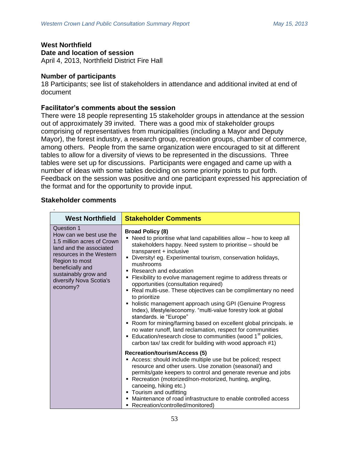# **West Northfield**

**Date and location of session**

April 4, 2013, Northfield District Fire Hall

## **Number of participants**

18 Participants; see list of stakeholders in attendance and additional invited at end of document

## **Facilitator's comments about the session**

There were 18 people representing 15 stakeholder groups in attendance at the session out of approximately 39 invited. There was a good mix of stakeholder groups comprising of representatives from municipalities (including a Mayor and Deputy Mayor), the forest industry, a research group, recreation groups, chamber of commerce, among others. People from the same organization were encouraged to sit at different tables to allow for a diversity of views to be represented in the discussions. Three tables were set up for discussions. Participants were engaged and came up with a number of ideas with some tables deciding on some priority points to put forth. Feedback on the session was positive and one participant expressed his appreciation of the format and for the opportunity to provide input.

| <b>West Northfield</b>                                                                                                                                                                                                          | <b>Stakeholder Comments</b>                                                                                                                                                                                                                                                                                                                                                                                                                                                                                                                                                                                                                                                                                                                                                                                                                                                                                                              |
|---------------------------------------------------------------------------------------------------------------------------------------------------------------------------------------------------------------------------------|------------------------------------------------------------------------------------------------------------------------------------------------------------------------------------------------------------------------------------------------------------------------------------------------------------------------------------------------------------------------------------------------------------------------------------------------------------------------------------------------------------------------------------------------------------------------------------------------------------------------------------------------------------------------------------------------------------------------------------------------------------------------------------------------------------------------------------------------------------------------------------------------------------------------------------------|
| Question 1<br>How can we best use the<br>1.5 million acres of Crown<br>land and the associated<br>resources in the Western<br>Region to most<br>beneficially and<br>sustainably grow and<br>diversify Nova Scotia's<br>economy? | <b>Broad Policy (8)</b><br>Need to prioritise what land capabilities allow - how to keep all<br>٠<br>stakeholders happy. Need system to prioritise - should be<br>transparent + inclusive<br>Diversity! eg. Experimental tourism, conservation holidays,<br>mushrooms<br>Research and education<br>Flexibility to evolve management regime to address threats or<br>٠<br>opportunities (consultation required)<br>• Real multi-use. These objectives can be complimentary no need<br>to prioritize<br>holistic management approach using GPI (Genuine Progress<br>Index), lifestyle/economy. "multi-value forestry look at global<br>standards. ie "Europe"<br>" Room for mining/farming based on excellent global principals. ie<br>no water runoff, land reclamation, respect for communities<br>Education/research close to communities (wood 1 <sup>st</sup> policies,<br>carbon tax/ tax credit for building with wood approach #1) |
|                                                                                                                                                                                                                                 | <b>Recreation/tourism/Access (5)</b><br>Access: should include multiple use but be policed; respect<br>resource and other users. Use zonation (seasonal/) and<br>permits/gate keepers to control and generate revenue and jobs<br>• Recreation (motorized/non-motorized, hunting, angling,<br>canoeing, hiking etc.)<br>• Tourism and outfitting<br>Maintenance of road infrastructure to enable controlled access<br>Recreation/controlled/monitored)<br>٠                                                                                                                                                                                                                                                                                                                                                                                                                                                                              |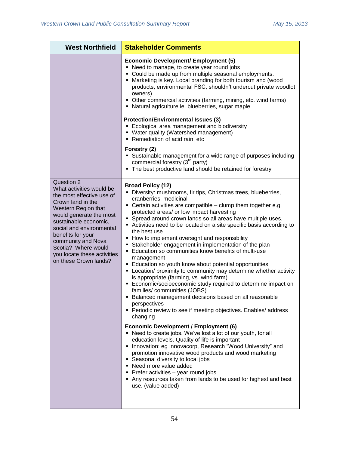| <b>West Northfield</b>                                                                                                                                                                                                                                                                                                    | <b>Stakeholder Comments</b>                                                                                                                                                                                                                                                                                                                                                                                                                                                                                                                                                                                                                                                                                                                                                                                                                                                                                                                                                                                                                                                                                                                                                                                                                                                                                                                                                                                                                                                                                     |
|---------------------------------------------------------------------------------------------------------------------------------------------------------------------------------------------------------------------------------------------------------------------------------------------------------------------------|-----------------------------------------------------------------------------------------------------------------------------------------------------------------------------------------------------------------------------------------------------------------------------------------------------------------------------------------------------------------------------------------------------------------------------------------------------------------------------------------------------------------------------------------------------------------------------------------------------------------------------------------------------------------------------------------------------------------------------------------------------------------------------------------------------------------------------------------------------------------------------------------------------------------------------------------------------------------------------------------------------------------------------------------------------------------------------------------------------------------------------------------------------------------------------------------------------------------------------------------------------------------------------------------------------------------------------------------------------------------------------------------------------------------------------------------------------------------------------------------------------------------|
|                                                                                                                                                                                                                                                                                                                           | <b>Economic Development/ Employment (5)</b><br>• Need to manage, to create year round jobs<br>• Could be made up from multiple seasonal employments.<br>• Marketing is key. Local branding for both tourism and (wood<br>products, environmental FSC, shouldn't undercut private woodlot<br>owners)<br>• Other commercial activities (farming, mining, etc. wind farms)<br>• Natural agriculture ie. blueberries, sugar maple<br><b>Protection/Environmental Issues (3)</b><br>• Ecological area management and biodiversity<br>• Water quality (Watershed management)<br>• Remediation of acid rain, etc<br>Forestry (2)<br>• Sustainable management for a wide range of purposes including<br>commercial forestry (3 <sup>rd</sup> party)<br>• The best productive land should be retained for forestry                                                                                                                                                                                                                                                                                                                                                                                                                                                                                                                                                                                                                                                                                                       |
| Question 2<br>What activities would be<br>the most effective use of<br>Crown land in the<br>Western Region that<br>would generate the most<br>sustainable economic,<br>social and environmental<br>benefits for your<br>community and Nova<br>Scotia? Where would<br>you locate these activities<br>on these Crown lands? | <b>Broad Policy (12)</b><br>• Diversity: mushrooms, fir tips, Christmas trees, blueberries,<br>cranberries, medicinal<br>• Certain activities are compatible - clump them together e.g.<br>protected areas/ or low impact harvesting<br>• Spread around crown lands so all areas have multiple uses.<br>Activities need to be located on a site specific basis according to<br>the best use<br>• How to implement oversight and responsibility<br>• Stakeholder engagement in implementation of the plan<br>■ Education so communities know benefits of multi-use<br>management<br>• Education so youth know about potential opportunities<br>• Location/ proximity to community may determine whether activity<br>is appropriate (farming, vs. wind farm)<br>Economic/socioeconomic study required to determine impact on<br>families/communities (JOBS)<br>Balanced management decisions based on all reasonable<br>perspectives<br>• Periodic review to see if meeting objectives. Enables/ address<br>changing<br><b>Economic Development / Employment (6)</b><br>• Need to create jobs. We've lost a lot of our youth, for all<br>education levels. Quality of life is important<br>• Innovation: eg Innovacorp, Research "Wood University" and<br>promotion innovative wood products and wood marketing<br>• Seasonal diversity to local jobs<br>• Need more value added<br>• Prefer activities - year round jobs<br>Any resources taken from lands to be used for highest and best<br>use. (value added) |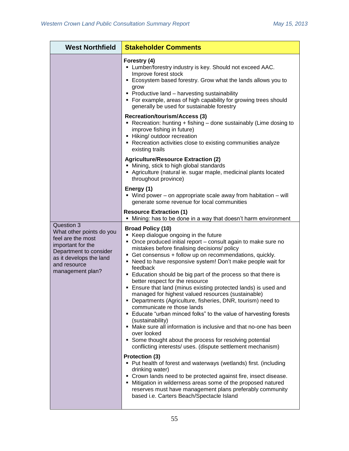| <b>West Northfield</b>                                                                                                                                                    | <b>Stakeholder Comments</b>                                                                                                                                                                                                                                                                                                                                                                                                                                                                                                                                                                                                                                                                                                                                                                                                                                                                                                                                                                                                                                                                                                                 |
|---------------------------------------------------------------------------------------------------------------------------------------------------------------------------|---------------------------------------------------------------------------------------------------------------------------------------------------------------------------------------------------------------------------------------------------------------------------------------------------------------------------------------------------------------------------------------------------------------------------------------------------------------------------------------------------------------------------------------------------------------------------------------------------------------------------------------------------------------------------------------------------------------------------------------------------------------------------------------------------------------------------------------------------------------------------------------------------------------------------------------------------------------------------------------------------------------------------------------------------------------------------------------------------------------------------------------------|
|                                                                                                                                                                           | Forestry (4)<br>• Lumber/forestry industry is key. Should not exceed AAC.<br>Improve forest stock<br>• Ecosystem based forestry. Grow what the lands allows you to<br>grow<br>• Productive land - harvesting sustainability<br>• For example, areas of high capability for growing trees should<br>generally be used for sustainable forestry                                                                                                                                                                                                                                                                                                                                                                                                                                                                                                                                                                                                                                                                                                                                                                                               |
|                                                                                                                                                                           | <b>Recreation/tourism/Access (3)</b><br>• Recreation: hunting + fishing - done sustainably (Lime dosing to<br>improve fishing in future)<br>- Hiking/ outdoor recreation<br>• Recreation activities close to existing communities analyze<br>existing trails                                                                                                                                                                                                                                                                                                                                                                                                                                                                                                                                                                                                                                                                                                                                                                                                                                                                                |
|                                                                                                                                                                           | <b>Agriculture/Resource Extraction (2)</b><br>• Mining, stick to high global standards<br>Agriculture (natural ie. sugar maple, medicinal plants located<br>throughout province)                                                                                                                                                                                                                                                                                                                                                                                                                                                                                                                                                                                                                                                                                                                                                                                                                                                                                                                                                            |
|                                                                                                                                                                           | Energy (1)<br>■ Wind power – on appropriate scale away from habitation – will<br>generate some revenue for local communities                                                                                                                                                                                                                                                                                                                                                                                                                                                                                                                                                                                                                                                                                                                                                                                                                                                                                                                                                                                                                |
|                                                                                                                                                                           | <b>Resource Extraction (1)</b><br>Mining: has to be done in a way that doesn't harm environment                                                                                                                                                                                                                                                                                                                                                                                                                                                                                                                                                                                                                                                                                                                                                                                                                                                                                                                                                                                                                                             |
| Question 3<br>What other points do you<br>feel are the most<br>important for the<br>Department to consider<br>as it develops the land<br>and resource<br>management plan? | <b>Broad Policy (10)</b><br>■ Keep dialogue ongoing in the future<br>• Once produced initial report - consult again to make sure no<br>mistakes before finalising decisions/ policy<br>• Get consensus + follow up on recommendations, quickly.<br>• Need to have responsive system! Don't make people wait for<br>feedback<br>Education should be big part of the process so that there is<br>better respect for the resource<br>• Ensure that land (minus existing protected lands) is used and<br>managed for highest valued resources (sustainable)<br>• Departments (Agriculture, fisheries, DNR, tourism) need to<br>communicate re those lands<br>• Educate "urban minced folks" to the value of harvesting forests<br>(sustainability)<br>• Make sure all information is inclusive and that no-one has been<br>over looked<br>• Some thought about the process for resolving potential<br>conflicting interests/ uses. (dispute settlement mechanism)<br>Protection (3)<br>• Put health of forest and waterways (wetlands) first. (including<br>drinking water)<br>• Crown lands need to be protected against fire, insect disease. |
|                                                                                                                                                                           | • Mitigation in wilderness areas some of the proposed natured<br>reserves must have management plans preferably community<br>based i.e. Carters Beach/Spectacle Island                                                                                                                                                                                                                                                                                                                                                                                                                                                                                                                                                                                                                                                                                                                                                                                                                                                                                                                                                                      |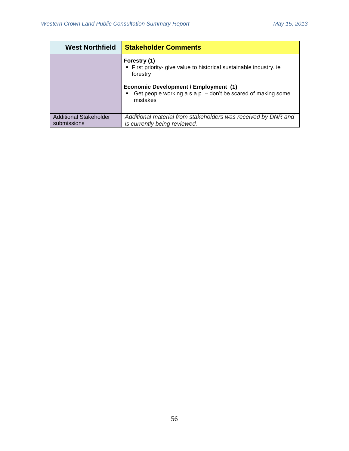| <b>West Northfield</b>                | <b>Stakeholder Comments</b>                                                                                                                                                                                     |
|---------------------------------------|-----------------------------------------------------------------------------------------------------------------------------------------------------------------------------------------------------------------|
|                                       | Forestry (1)<br>• First priority- give value to historical sustainable industry. ie<br>forestry<br><b>Economic Development / Employment (1)</b><br>Get people working a.s.a.p. - don't be scared of making some |
|                                       | mistakes                                                                                                                                                                                                        |
| Additional Stakeholder<br>submissions | Additional material from stakeholders was received by DNR and<br>is currently being reviewed.                                                                                                                   |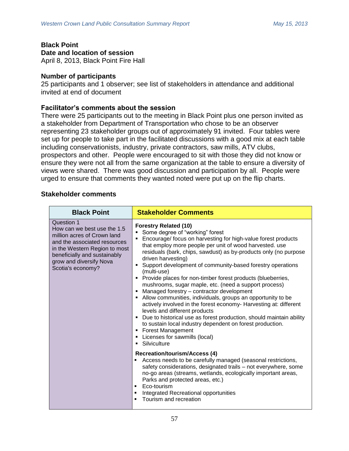**Black Point Date and location of session** April 8, 2013, Black Point Fire Hall

## **Number of participants**

25 participants and 1 observer; see list of stakeholders in attendance and additional invited at end of document

## **Facilitator's comments about the session**

There were 25 participants out to the meeting in Black Point plus one person invited as a stakeholder from Department of Transportation who chose to be an observer representing 23 stakeholder groups out of approximately 91 invited. Four tables were set up for people to take part in the facilitated discussions with a good mix at each table including conservationists, industry, private contractors, saw mills, ATV clubs, prospectors and other. People were encouraged to sit with those they did not know or ensure they were not all from the same organization at the table to ensure a diversity of views were shared. There was good discussion and participation by all. People were urged to ensure that comments they wanted noted were put up on the flip charts.

| <b>Black Point</b>                                                                                                                                                                                                        | <b>Stakeholder Comments</b>                                                                                                                                                                                                                                                                                                                                                                                                                                                                                                                                                                                                                                                                                                                                                                                                                                                                                                               |
|---------------------------------------------------------------------------------------------------------------------------------------------------------------------------------------------------------------------------|-------------------------------------------------------------------------------------------------------------------------------------------------------------------------------------------------------------------------------------------------------------------------------------------------------------------------------------------------------------------------------------------------------------------------------------------------------------------------------------------------------------------------------------------------------------------------------------------------------------------------------------------------------------------------------------------------------------------------------------------------------------------------------------------------------------------------------------------------------------------------------------------------------------------------------------------|
| Question 1<br>How can we best use the 1.5<br>million acres of Crown land<br>and the associated resources<br>in the Western Region to most<br>beneficially and sustainably<br>grow and diversify Nova<br>Scotia's economy? | <b>Forestry Related (10)</b><br>Some degree of "working" forest<br>Encourage/ focus on harvesting for high-value forest products<br>that employ more people per unit of wood harvested. use<br>residuals (bark, chips, sawdust) as by-products only (no purpose<br>driven harvesting)<br>• Support development of community-based forestry operations<br>(multi-use)<br>• Provide places for non-timber forest products (blueberries,<br>mushrooms, sugar maple, etc. (need a support process)<br>• Managed forestry - contractor development<br>• Allow communities, individuals, groups an opportunity to be<br>actively involved in the forest economy- Harvesting at: different<br>levels and different products<br>• Due to historical use as forest production, should maintain ability<br>to sustain local industry dependent on forest production.<br><b>Forest Management</b><br>• Licenses for sawmills (local)<br>Silviculture |
|                                                                                                                                                                                                                           | <b>Recreation/tourism/Access (4)</b><br>Access needs to be carefully managed (seasonal restrictions,<br>safety considerations, designated trails - not everywhere, some<br>no-go areas (streams, wetlands, ecologically important areas,<br>Parks and protected areas, etc.)<br>Eco-tourism<br>п<br>Integrated Recreational opportunities<br>$\blacksquare$<br>Tourism and recreation                                                                                                                                                                                                                                                                                                                                                                                                                                                                                                                                                     |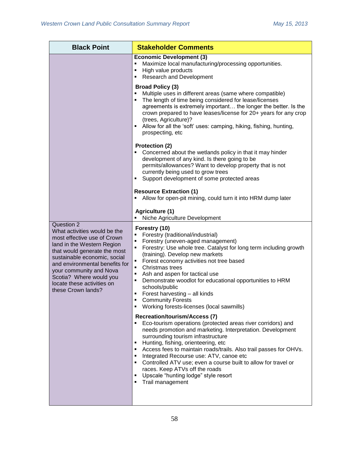| <b>Black Point</b>                                                                                                                                                                                                                                                                                                  | <b>Stakeholder Comments</b>                                                                                                                                                                                                                                                                                                                                                                                                                                                                                                                                                  |
|---------------------------------------------------------------------------------------------------------------------------------------------------------------------------------------------------------------------------------------------------------------------------------------------------------------------|------------------------------------------------------------------------------------------------------------------------------------------------------------------------------------------------------------------------------------------------------------------------------------------------------------------------------------------------------------------------------------------------------------------------------------------------------------------------------------------------------------------------------------------------------------------------------|
|                                                                                                                                                                                                                                                                                                                     | <b>Economic Development (3)</b><br>Maximize local manufacturing/processing opportunities.<br>High value products<br>٠<br><b>Research and Development</b><br>٠                                                                                                                                                                                                                                                                                                                                                                                                                |
|                                                                                                                                                                                                                                                                                                                     | <b>Broad Policy (3)</b><br>Multiple uses in different areas (same where compatible)<br>Ξ<br>The length of time being considered for lease/licenses<br>$\blacksquare$<br>agreements is extremely important the longer the better. Is the<br>crown prepared to have leases/license for 20+ years for any crop<br>(trees, Agriculture)?<br>Allow for all the 'soft' uses: camping, hiking, fishing, hunting,<br>prospecting, etc                                                                                                                                                |
|                                                                                                                                                                                                                                                                                                                     | <b>Protection (2)</b><br>Concerned about the wetlands policy in that it may hinder<br>development of any kind. Is there going to be<br>permits/allowances? Want to develop property that is not<br>currently being used to grow trees<br>Support development of some protected areas<br>٠                                                                                                                                                                                                                                                                                    |
|                                                                                                                                                                                                                                                                                                                     | <b>Resource Extraction (1)</b><br>Allow for open-pit mining, could turn it into HRM dump later<br>п                                                                                                                                                                                                                                                                                                                                                                                                                                                                          |
|                                                                                                                                                                                                                                                                                                                     | Agriculture (1)<br>Niche Agriculture Development                                                                                                                                                                                                                                                                                                                                                                                                                                                                                                                             |
| Question 2<br>What activities would be the<br>most effective use of Crown<br>land in the Western Region<br>that would generate the most<br>sustainable economic, social<br>and environmental benefits for<br>your community and Nova<br>Scotia? Where would you<br>locate these activities on<br>these Crown lands? | Forestry (10)<br>Forestry (traditional/industrial)<br>Forestry (uneven-aged management)<br>$\blacksquare$<br>Forestry: Use whole tree. Catalyst for long term including growth<br>٠<br>(training). Develop new markets<br>Forest economy activities not tree based<br>$\blacksquare$<br>Christmas trees<br>$\blacksquare$<br>Ash and aspen for tactical use<br>٠<br>Demonstrate woodlot for educational opportunities to HRM<br>٠<br>schools/public<br>Forest harvesting - all kinds<br>٠<br><b>Community Forests</b><br>п<br>Working forests-licenses (local sawmills)<br>٠ |
|                                                                                                                                                                                                                                                                                                                     | <b>Recreation/tourism/Access (7)</b><br>Eco-tourism operations (protected areas river corridors) and<br>needs promotion and marketing. Interpretation. Development<br>surrounding tourism infrastructure<br>Hunting, fishing, orienteering, etc<br>٠<br>Access fees to maintain roads/trails. Also trail passes for OHVs.<br>٠<br>Integrated Recourse use: ATV, canoe etc<br>٠<br>Controlled ATV use; even a course built to allow for travel or<br>٠<br>races. Keep ATVs off the roads<br>Upscale "hunting lodge" style resort<br>п<br>Trail management                     |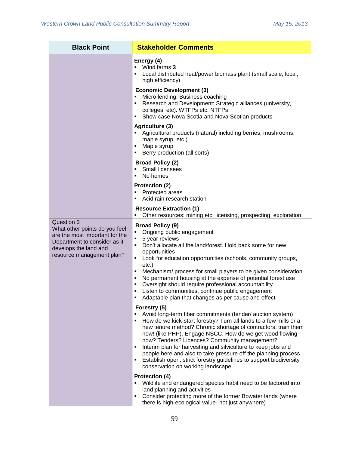| <b>Black Point</b>                                                                                                                                                  | <b>Stakeholder Comments</b>                                                                                                                                                                                                                                                                                                                                                                                                                                                                                                                                                                                               |
|---------------------------------------------------------------------------------------------------------------------------------------------------------------------|---------------------------------------------------------------------------------------------------------------------------------------------------------------------------------------------------------------------------------------------------------------------------------------------------------------------------------------------------------------------------------------------------------------------------------------------------------------------------------------------------------------------------------------------------------------------------------------------------------------------------|
|                                                                                                                                                                     | Energy (4)<br>Wind farms 3<br>Local distributed heat/power biomass plant (small scale, local,<br>٠<br>high efficiency)                                                                                                                                                                                                                                                                                                                                                                                                                                                                                                    |
|                                                                                                                                                                     | <b>Economic Development (3)</b><br>Micro lending, Business coaching<br>Ξ<br>Research and Development: Strategic alliances (university,<br>colleges, etc). WTFPs etc. NTFPs<br>Show case Nova Scotia and Nova Scotian products<br>٠                                                                                                                                                                                                                                                                                                                                                                                        |
|                                                                                                                                                                     | Agriculture (3)<br>Agricultural products (natural) including berries, mushrooms,<br>maple syrup, etc.)<br>Maple syrup<br>٠<br>Berry production (all sorts)                                                                                                                                                                                                                                                                                                                                                                                                                                                                |
|                                                                                                                                                                     | <b>Broad Policy (2)</b><br>Small licensees<br>٠<br>No homes<br>٠                                                                                                                                                                                                                                                                                                                                                                                                                                                                                                                                                          |
|                                                                                                                                                                     | Protection (2)<br>Protected areas<br>٠<br>Acid rain research station<br>٠                                                                                                                                                                                                                                                                                                                                                                                                                                                                                                                                                 |
|                                                                                                                                                                     | <b>Resource Extraction (1)</b><br>Other resources: mining etc. licensing, prospecting, exploration                                                                                                                                                                                                                                                                                                                                                                                                                                                                                                                        |
| Question 3<br>What other points do you feel<br>are the most important for the<br>Department to consider as it<br>develops the land and<br>resource management plan? | <b>Broad Policy (9)</b><br>Ongoing public engagement<br>Е<br>5 year reviews<br>٠<br>Don't allocate all the land/forest. Hold back some for new<br>×,<br>opportunities<br>Look for education opportunities (schools, community groups,<br>٠<br>$etc.$ )<br>Mechanism/ process for small players to be given consideration<br>$\blacksquare$<br>No permanent housing at the expense of potential forest use<br>$\blacksquare$<br>Oversight should require professional accountability<br>٠<br>Listen to communities, continue public engagement<br>٠<br>Adaptable plan that changes as per cause and effect<br>Forestry (5) |
|                                                                                                                                                                     | Avoid long-term fiber commitments (tender/ auction system)<br>How do we kick-start forestry? Turn all lands to a few mills or a<br>٠<br>new tenure method? Chronic shortage of contractors, train them<br>now! (like PHP). Engage NSCC. How do we get wood flowing<br>now? Tenders? Licences? Community management?<br>Interim plan for harvesting and silviculture to keep jobs and<br>٠<br>people here and also to take pressure off the planning process<br>Establish open, strict forestry guidelines to support biodiversity<br>٠<br>conservation on working landscape                                               |
|                                                                                                                                                                     | <b>Protection (4)</b><br>Wildlife and endangered species habit need to be factored into<br>٠<br>land planning and activities<br>Consider protecting more of the former Bowater lands (where<br>there is high-ecological value- not just anywhere)                                                                                                                                                                                                                                                                                                                                                                         |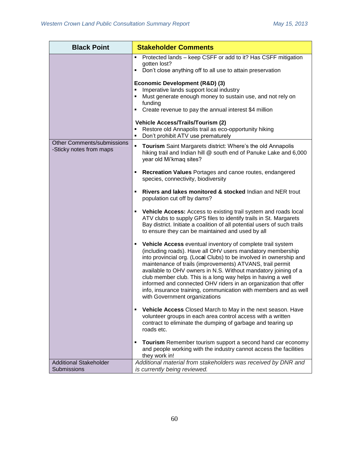| <b>Black Point</b>                                           | <b>Stakeholder Comments</b>                                                                                                                                                                                                                                                                                                                                                                                                                                                                                                                                               |
|--------------------------------------------------------------|---------------------------------------------------------------------------------------------------------------------------------------------------------------------------------------------------------------------------------------------------------------------------------------------------------------------------------------------------------------------------------------------------------------------------------------------------------------------------------------------------------------------------------------------------------------------------|
|                                                              | Protected lands - keep CSFF or add to it? Has CSFF mitigation<br>$\blacksquare$<br>gotten lost?<br>Don't close anything off to all use to attain preservation<br>٠                                                                                                                                                                                                                                                                                                                                                                                                        |
|                                                              | Economic Development (R&D) (3)<br>Imperative lands support local industry<br>Must generate enough money to sustain use, and not rely on<br>funding<br>Create revenue to pay the annual interest \$4 million<br>٠                                                                                                                                                                                                                                                                                                                                                          |
|                                                              | <b>Vehicle Access/Trails/Tourism (2)</b><br>Restore old Annapolis trail as eco-opportunity hiking<br>Don't prohibit ATV use prematurely<br>٠                                                                                                                                                                                                                                                                                                                                                                                                                              |
| <b>Other Comments/submissions</b><br>-Sticky notes from maps | Tourism Saint Margarets district: Where's the old Annapolis<br>٠<br>hiking trail and Indian hill @ south end of Panuke Lake and 6,000<br>year old Mi'kmaq sites?                                                                                                                                                                                                                                                                                                                                                                                                          |
|                                                              | Recreation Values Portages and canoe routes, endangered<br>٠<br>species, connectivity, biodiversity                                                                                                                                                                                                                                                                                                                                                                                                                                                                       |
|                                                              | Rivers and lakes monitored & stocked Indian and NER trout<br>population cut off by dams?                                                                                                                                                                                                                                                                                                                                                                                                                                                                                  |
|                                                              | Vehicle Access: Access to existing trail system and roads local<br>ATV clubs to supply GPS files to identify trails in St. Margarets<br>Bay district. Initiate a coalition of all potential users of such trails<br>to ensure they can be maintained and used by all                                                                                                                                                                                                                                                                                                      |
|                                                              | Vehicle Access eventual inventory of complete trail system<br>٠<br>(including roads). Have all OHV users mandatory membership<br>into provincial org. (Local Clubs) to be involved in ownership and<br>maintenance of trails (improvements) ATVANS, trail permit<br>available to OHV owners in N.S. Without mandatory joining of a<br>club member club. This is a long way helps in having a well<br>informed and connected OHV riders in an organization that offer<br>info, insurance training, communication with members and as well<br>with Government organizations |
|                                                              | Vehicle Access Closed March to May in the next season. Have<br>٠<br>volunteer groups in each area control access with a written<br>contract to eliminate the dumping of garbage and tearing up<br>roads etc.                                                                                                                                                                                                                                                                                                                                                              |
|                                                              | <b>Tourism</b> Remember tourism support a second hand car economy<br>٠<br>and people working with the industry cannot access the facilities<br>they work in!                                                                                                                                                                                                                                                                                                                                                                                                              |
| <b>Additional Stakeholder</b>                                | Additional material from stakeholders was received by DNR and                                                                                                                                                                                                                                                                                                                                                                                                                                                                                                             |
| Submissions                                                  | is currently being reviewed.                                                                                                                                                                                                                                                                                                                                                                                                                                                                                                                                              |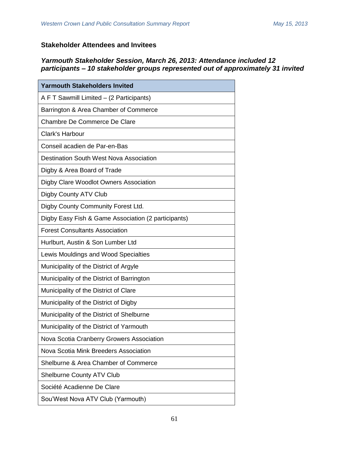# **Stakeholder Attendees and Invitees**

## *Yarmouth Stakeholder Session, March 26, 2013: Attendance included 12 participants – 10 stakeholder groups represented out of approximately 31 invited*

| <b>Yarmouth Stakeholders Invited</b>                |  |
|-----------------------------------------------------|--|
| A F T Sawmill Limited - (2 Participants)            |  |
| Barrington & Area Chamber of Commerce               |  |
| Chambre De Commerce De Clare                        |  |
| Clark's Harbour                                     |  |
| Conseil acadien de Par-en-Bas                       |  |
| <b>Destination South West Nova Association</b>      |  |
| Digby & Area Board of Trade                         |  |
| Digby Clare Woodlot Owners Association              |  |
| Digby County ATV Club                               |  |
| Digby County Community Forest Ltd.                  |  |
| Digby Easy Fish & Game Association (2 participants) |  |
| <b>Forest Consultants Association</b>               |  |
| Hurlburt, Austin & Son Lumber Ltd                   |  |
| Lewis Mouldings and Wood Specialties                |  |
| Municipality of the District of Argyle              |  |
| Municipality of the District of Barrington          |  |
| Municipality of the District of Clare               |  |
| Municipality of the District of Digby               |  |
| Municipality of the District of Shelburne           |  |
| Municipality of the District of Yarmouth            |  |
| Nova Scotia Cranberry Growers Association           |  |
| Nova Scotia Mink Breeders Association               |  |
| Shelburne & Area Chamber of Commerce                |  |
| <b>Shelburne County ATV Club</b>                    |  |
| Société Acadienne De Clare                          |  |
| Sou'West Nova ATV Club (Yarmouth)                   |  |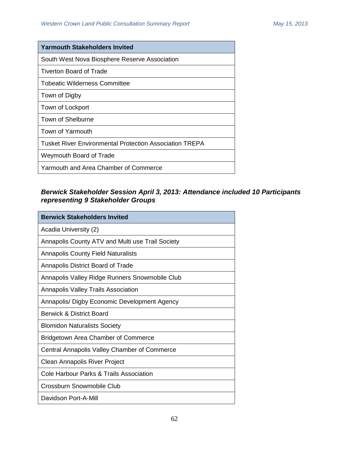| <b>Yarmouth Stakeholders Invited</b>                    |  |
|---------------------------------------------------------|--|
| South West Nova Biosphere Reserve Association           |  |
| <b>Tiverton Board of Trade</b>                          |  |
| Tobeatic Wilderness Committee                           |  |
| Town of Digby                                           |  |
| Town of Lockport                                        |  |
| Town of Shelburne                                       |  |
| Town of Yarmouth                                        |  |
| Tusket River Environmental Protection Association TREPA |  |
| Weymouth Board of Trade                                 |  |
| Yarmouth and Area Chamber of Commerce                   |  |

# *Berwick Stakeholder Session April 3, 2013: Attendance included 10 Participants representing 9 Stakeholder Groups*

| <b>Berwick Stakeholders Invited</b>              |  |
|--------------------------------------------------|--|
| Acadia University (2)                            |  |
| Annapolis County ATV and Multi use Trail Society |  |
| <b>Annapolis County Field Naturalists</b>        |  |
| Annapolis District Board of Trade                |  |
| Annapolis Valley Ridge Runners Snowmobile Club   |  |
| <b>Annapolis Valley Trails Association</b>       |  |
| Annapolis/ Digby Economic Development Agency     |  |
| Berwick & District Board                         |  |
| <b>Blomidon Naturalists Society</b>              |  |
| Bridgetown Area Chamber of Commerce              |  |
| Central Annapolis Valley Chamber of Commerce     |  |
| Clean Annapolis River Project                    |  |
| Cole Harbour Parks & Trails Association          |  |
| Crossburn Snowmobile Club                        |  |
| Davidson Port-A-Mill                             |  |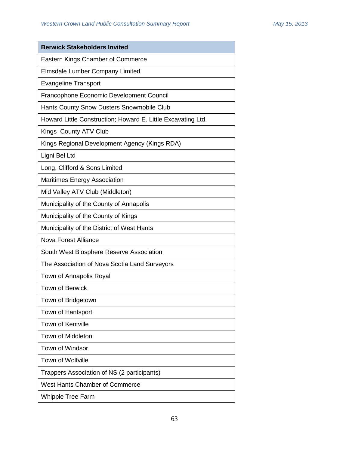| <b>Berwick Stakeholders Invited</b>                          |  |
|--------------------------------------------------------------|--|
| Eastern Kings Chamber of Commerce                            |  |
| Elmsdale Lumber Company Limited                              |  |
| <b>Evangeline Transport</b>                                  |  |
| Francophone Economic Development Council                     |  |
| Hants County Snow Dusters Snowmobile Club                    |  |
| Howard Little Construction; Howard E. Little Excavating Ltd. |  |
| Kings County ATV Club                                        |  |
| Kings Regional Development Agency (Kings RDA)                |  |
| Ligni Bel Ltd                                                |  |
| Long, Clifford & Sons Limited                                |  |
| <b>Maritimes Energy Association</b>                          |  |
| Mid Valley ATV Club (Middleton)                              |  |
| Municipality of the County of Annapolis                      |  |
| Municipality of the County of Kings                          |  |
| Municipality of the District of West Hants                   |  |
| Nova Forest Alliance                                         |  |
| South West Biosphere Reserve Association                     |  |
| The Association of Nova Scotia Land Surveyors                |  |
| Town of Annapolis Royal                                      |  |
| <b>Town of Berwick</b>                                       |  |
| Town of Bridgetown                                           |  |
| Town of Hantsport                                            |  |
| <b>Town of Kentville</b>                                     |  |
| <b>Town of Middleton</b>                                     |  |
| <b>Town of Windsor</b>                                       |  |
| <b>Town of Wolfville</b>                                     |  |
| Trappers Association of NS (2 participants)                  |  |
| <b>West Hants Chamber of Commerce</b>                        |  |
| <b>Whipple Tree Farm</b>                                     |  |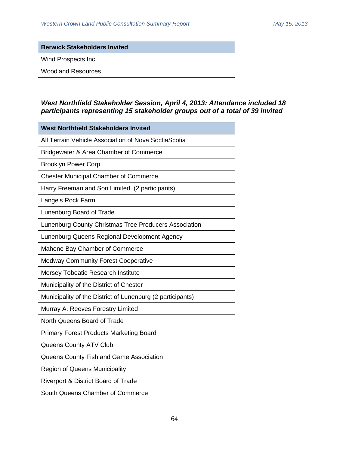**Berwick Stakeholders Invited** Wind Prospects Inc. Woodland Resources

## *West Northfield Stakeholder Session, April 4, 2013: Attendance included 18 participants representing 15 stakeholder groups out of a total of 39 invited*

| <b>West Northfield Stakeholders Invited</b>                |  |
|------------------------------------------------------------|--|
| All Terrain Vehicle Association of Nova SoctiaScotia       |  |
| Bridgewater & Area Chamber of Commerce                     |  |
| <b>Brooklyn Power Corp</b>                                 |  |
| <b>Chester Municipal Chamber of Commerce</b>               |  |
| Harry Freeman and Son Limited (2 participants)             |  |
| Lange's Rock Farm                                          |  |
| Lunenburg Board of Trade                                   |  |
| Lunenburg County Christmas Tree Producers Association      |  |
| Lunenburg Queens Regional Development Agency               |  |
| Mahone Bay Chamber of Commerce                             |  |
| <b>Medway Community Forest Cooperative</b>                 |  |
| Mersey Tobeatic Research Institute                         |  |
| Municipality of the District of Chester                    |  |
| Municipality of the District of Lunenburg (2 participants) |  |
| Murray A. Reeves Forestry Limited                          |  |
| North Queens Board of Trade                                |  |
| <b>Primary Forest Products Marketing Board</b>             |  |
| Queens County ATV Club                                     |  |
| Queens County Fish and Game Association                    |  |
| <b>Region of Queens Municipality</b>                       |  |
| Riverport & District Board of Trade                        |  |
| South Queens Chamber of Commerce                           |  |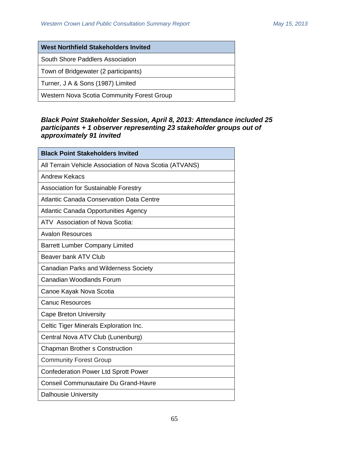## **West Northfield Stakeholders Invited**

South Shore Paddlers Association

Town of Bridgewater (2 participants)

Turner, J A & Sons (1987) Limited

Western Nova Scotia Community Forest Group

## *Black Point Stakeholder Session, April 8, 2013: Attendance included 25 participants + 1 observer representing 23 stakeholder groups out of approximately 91 invited*

| <b>Black Point Stakeholders Invited</b>                 |  |
|---------------------------------------------------------|--|
| All Terrain Vehicle Association of Nova Scotia (ATVANS) |  |
| <b>Andrew Kekacs</b>                                    |  |
| Association for Sustainable Forestry                    |  |
| <b>Atlantic Canada Conservation Data Centre</b>         |  |
| Atlantic Canada Opportunities Agency                    |  |
| ATV Association of Nova Scotia:                         |  |
| <b>Avalon Resources</b>                                 |  |
| <b>Barrett Lumber Company Limited</b>                   |  |
| Beaver bank ATV Club                                    |  |
| <b>Canadian Parks and Wilderness Society</b>            |  |
| Canadian Woodlands Forum                                |  |
| Canoe Kayak Nova Scotia                                 |  |
| <b>Canuc Resources</b>                                  |  |
| <b>Cape Breton University</b>                           |  |
| Celtic Tiger Minerals Exploration Inc.                  |  |
| Central Nova ATV Club (Lunenburg)                       |  |
| <b>Chapman Brother s Construction</b>                   |  |
| <b>Community Forest Group</b>                           |  |
| <b>Confederation Power Ltd Sprott Power</b>             |  |
| Conseil Communautaire Du Grand-Havre                    |  |
| <b>Dalhousie University</b>                             |  |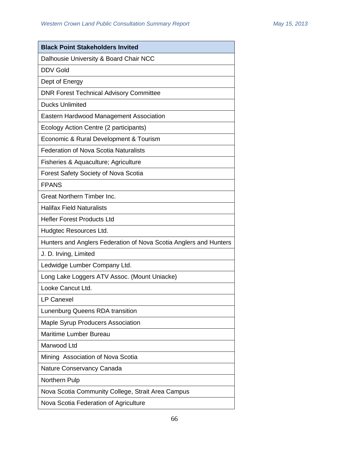| <b>Black Point Stakeholders Invited</b>                           |  |
|-------------------------------------------------------------------|--|
| Dalhousie University & Board Chair NCC                            |  |
| <b>DDV Gold</b>                                                   |  |
| Dept of Energy                                                    |  |
| <b>DNR Forest Technical Advisory Committee</b>                    |  |
| <b>Ducks Unlimited</b>                                            |  |
| Eastern Hardwood Management Association                           |  |
| Ecology Action Centre (2 participants)                            |  |
| Economic & Rural Development & Tourism                            |  |
| <b>Federation of Nova Scotia Naturalists</b>                      |  |
| Fisheries & Aquaculture; Agriculture                              |  |
| <b>Forest Safety Society of Nova Scotia</b>                       |  |
| <b>FPANS</b>                                                      |  |
| <b>Great Northern Timber Inc.</b>                                 |  |
| <b>Halifax Field Naturalists</b>                                  |  |
| <b>Hefler Forest Products Ltd</b>                                 |  |
| Hudgtec Resources Ltd.                                            |  |
| Hunters and Anglers Federation of Nova Scotia Anglers and Hunters |  |
| J. D. Irving, Limited                                             |  |
| Ledwidge Lumber Company Ltd.                                      |  |
| Long Lake Loggers ATV Assoc. (Mount Uniacke)                      |  |
| Looke Cancut Ltd.                                                 |  |
| <b>LP Canexel</b>                                                 |  |
| Lunenburg Queens RDA transition                                   |  |
| Maple Syrup Producers Association                                 |  |
| Maritime Lumber Bureau                                            |  |
| Marwood Ltd                                                       |  |
| Mining Association of Nova Scotia                                 |  |
| Nature Conservancy Canada                                         |  |
| Northern Pulp                                                     |  |
| Nova Scotia Community College, Strait Area Campus                 |  |
| Nova Scotia Federation of Agriculture                             |  |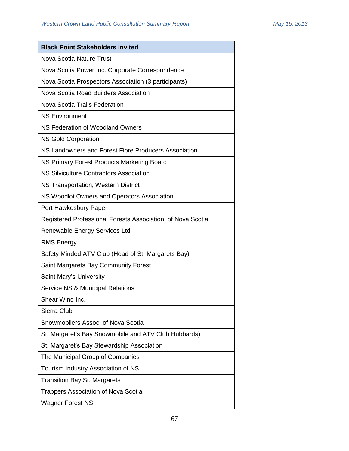| <b>Black Point Stakeholders Invited</b>                    |  |
|------------------------------------------------------------|--|
| Nova Scotia Nature Trust                                   |  |
| Nova Scotia Power Inc. Corporate Correspondence            |  |
| Nova Scotia Prospectors Association (3 participants)       |  |
| Nova Scotia Road Builders Association                      |  |
| Nova Scotia Trails Federation                              |  |
| <b>NS Environment</b>                                      |  |
| NS Federation of Woodland Owners                           |  |
| <b>NS Gold Corporation</b>                                 |  |
| NS Landowners and Forest Fibre Producers Association       |  |
| NS Primary Forest Products Marketing Board                 |  |
| NS Silviculture Contractors Association                    |  |
| NS Transportation, Western District                        |  |
| NS Woodlot Owners and Operators Association                |  |
| Port Hawkesbury Paper                                      |  |
| Registered Professional Forests Association of Nova Scotia |  |
| Renewable Energy Services Ltd                              |  |
| <b>RMS Energy</b>                                          |  |
| Safety Minded ATV Club (Head of St. Margarets Bay)         |  |
| Saint Margarets Bay Community Forest                       |  |
| Saint Mary's University                                    |  |
| Service NS & Municipal Relations                           |  |
| Shear Wind Inc.                                            |  |
| Sierra Club                                                |  |
| Snowmobilers Assoc, of Nova Scotia                         |  |
| St. Margaret's Bay Snowmobile and ATV Club Hubbards)       |  |
| St. Margaret's Bay Stewardship Association                 |  |
| The Municipal Group of Companies                           |  |
| Tourism Industry Association of NS                         |  |
| <b>Transition Bay St. Margarets</b>                        |  |
| <b>Trappers Association of Nova Scotia</b>                 |  |
| <b>Wagner Forest NS</b>                                    |  |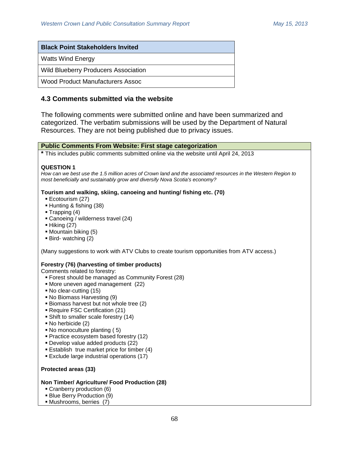| <b>Black Point Stakeholders Invited</b> |  |
|-----------------------------------------|--|
| Watts Wind Energy                       |  |
| Wild Blueberry Producers Association    |  |
| l Wood Product Manufacturers Assoc      |  |

## **4.3 Comments submitted via the website**

The following comments were submitted online and have been summarized and categorized. The verbatim submissions will be used by the Department of Natural Resources. They are not being published due to privacy issues.



- No herbicide (2)
- No monoculture planting (5)
- **Practice ecosystem based forestry (12)**
- Develop value added products (22)
- **Establish true market price for timber (4)**
- Exclude large industrial operations (17)

## **Protected areas (33)**

### **Non Timber/ Agriculture/ Food Production (28)**

- **Cranberry production (6)**
- Blue Berry Production (9)
- Mushrooms, berries (7)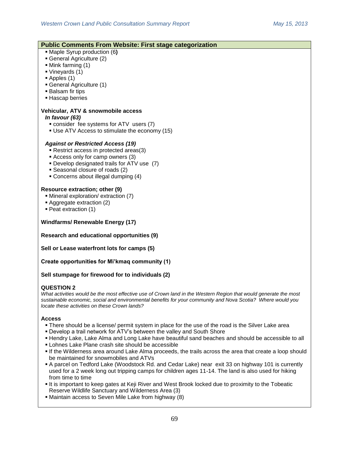| <b>Public Comments From Website: First stage categorization</b>                                                  |
|------------------------------------------------------------------------------------------------------------------|
| • Maple Syrup production (6)                                                                                     |
| General Agriculture (2)                                                                                          |
| • Mink farming (1)                                                                                               |
| Vineyards (1)                                                                                                    |
| $\blacksquare$ Apples (1)                                                                                        |
| • General Agriculture (1)                                                                                        |
| <b>Balsam fir tips</b>                                                                                           |
| - Hascap berries                                                                                                 |
| Vehicular, ATV & snowmobile access                                                                               |
| In favour (63)                                                                                                   |
| consider fee systems for ATV users (7)                                                                           |
| • Use ATV Access to stimulate the economy (15)                                                                   |
|                                                                                                                  |
| <b>Against or Restricted Access (19)</b>                                                                         |
| Restrict access in protected areas(3)                                                                            |
| Access only for camp owners (3)                                                                                  |
| • Develop designated trails for ATV use (7)                                                                      |
| • Seasonal closure of roads (2)                                                                                  |
| • Concerns about illegal dumping (4)                                                                             |
|                                                                                                                  |
| Resource extraction; other (9)                                                                                   |
| • Mineral exploration/ extraction (7)                                                                            |
| Aggregate extraction (2)                                                                                         |
| • Peat extraction (1)                                                                                            |
| <b>Windfarms/ Renewable Energy (17)</b>                                                                          |
|                                                                                                                  |
| <b>Research and educational opportunities (9)</b>                                                                |
| Sell or Lease waterfront lots for camps (5)                                                                      |
| Create opportunities for Mi'kmaq community (1)                                                                   |
| Sell stumpage for firewood for to individuals (2)                                                                |
|                                                                                                                  |
| <b>QUESTION 2</b>                                                                                                |
| What activities would be the most effective use of Crown land in the Western Region that would generate the most |

*sustainable economic, social and environmental benefits for your community and Nova Scotia? Where would you locate these activities on these Crown lands?*

## **Access**

- There should be a license/ permit system in place for the use of the road is the Silver Lake area
- Develop a trail network for ATV's between the valley and South Shore
- Hendry Lake, Lake Alma and Long Lake have beautiful sand beaches and should be accessible to all
- Lohnes Lake Plane crash site should be accessible
- If the Wilderness area around Lake Alma proceeds, the trails across the area that create a loop should be maintained for snowmobiles and ATVs
- A parcel on Tedford Lake (Woodstock Rd. and Cedar Lake) near exit 33 on highway 101 is currently used for a 2 week long out tripping camps for children ages 11-14. The land is also used for hiking from time to time
- It is important to keep gates at Keji River and West Brook locked due to proximity to the Tobeatic Reserve Wildlife Sanctuary and Wilderness Area (3)
- Maintain access to Seven Mile Lake from highway (8)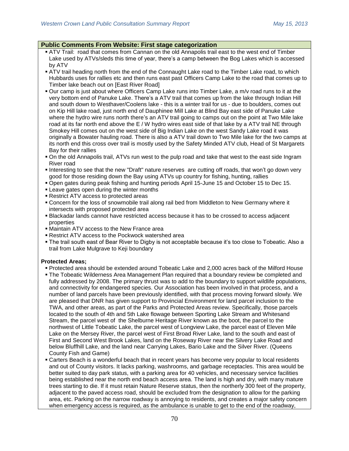## **Public Comments From Website: First stage categorization**

- ATV Trail: road that comes from Cannan on the old Annapolis trail east to the west end of Timber Lake used by ATVs/sleds this time of year, there's a camp between the Bog Lakes which is accessed by ATV
- ATV trail heading north from the end of the Connaught Lake road to the Timber Lake road, to which Hubbards uses for rallies etc and then runs east past Officers Camp Lake to the road that comes up to Timber lake beach out on [East River Road]
- Our camp is just about where Officers Camp Lake runs into Timber Lake, a m/v road runs to it at the very bottom end of Panuke Lake. There's a ATV trail that comes up from the lake through Indian Hill and south down to Westhaver/Coolens lake - this is a winter trail for us - due to boulders, comes out on Kip Hill lake road, just north end of Dauphinee Mill Lake at Blind Bay east side of Panuke Lake where the hydro wire runs north there's an ATV trail going to camps out on the point at Two Mile lake road at its far north end above the E / W hydro wires east side of that lake by a ATV trail NE through Smokey Hill comes out on the west side of Big Indian Lake on the west Sandy Lake road it was originally a Bowater hauling road. There is also a ATV trail down to Two Mile lake for the two camps at its north end this cross over trail is mostly used by the Safety Minded ATV club, Head of St Margarets Bay for their rallies
- On the old Annapolis trail, ATVs run west to the pulp road and take that west to the east side Ingram River road
- Interesting to see that the new "Draft" nature reserves are cutting off roads, that won't go down very good for those residing down the Bay using ATVs up country for fishing, hunting, rallies
- Open gates during peak fishing and hunting periods April 15-June 15 and October 15 to Dec 15.
- **Example 2** Leave gates open during the winter months
- Restrict ATV access to protected areas
- Concern for the loss of snowmobile trail along rail bed from Middleton to New Germany where it intersects with proposed protected area
- Blackadar lands cannot have restricted access because it has to be crossed to access adjacent properties
- Maintain ATV access to the New France area
- Restrict ATV access to the Pockwock watershed area
- The trail south east of Bear River to Digby is not acceptable because it's too close to Tobeatic. Also a trail from Lake Mulgrave to Keji boundary

## **Protected Areas;**

- Protected area should be extended around Tobeatic Lake and 2,000 acres back of the Milford House
- The Tobeatic Wilderness Area Management Plan required that a boundary review be completed and fully addressed by 2008. The primary thrust was to add to the boundary to support wildlife populations, and connectivity for endangered species. Our Association has been involved in that process, and a number of land parcels have been previously identified, with that process moving forward slowly. We are pleased that DNR has given support to Provincial Environment for land parcel inclusion to the TWA, and other areas, as part of the Parks and Protected Areas review. Specifically, those parcels located to the south of 4th and 5th Lake flowage between Sporting Lake Stream and Whitesand Stream, the parcel west of the Shelburne Heritage River known as the boot, the parcel to the northwest of Little Tobeatic Lake, the parcel west of Longview Lake, the parcel east of Eleven Mile Lake on the Mersey River, the parcel west of First Broad River Lake, land to the south and east of First and Second West Brook Lakes, land on the Roseway River near the Silvery Lake Road and below Bluffhill Lake, and the land near Carrying Lakes, Bario Lake and the Silver River. (Queens County Fish and Game)
- Carters Beach is a wonderful beach that in recent years has become very popular to local residents and out of County visitors. It lacks parking, washrooms, and garbage receptacles. This area would be better suited to day park status, with a parking area for 40 vehicles, and necessary service facilities being established near the north end beach access area. The land is high and dry, with many mature trees starting to die. If it must retain Nature Reserve status, then the northerly 300 feet of the property, adjacent to the paved access road, should be excluded from the designation to allow for the parking area, etc. Parking on the narrow roadway is annoying to residents, and creates a major safety concern when emergency access is required, as the ambulance is unable to get to the end of the roadway,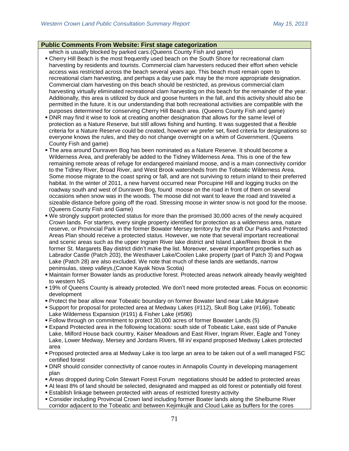## **Public Comments From Website: First stage categorization**

which is usually blocked by parked cars.(Queens County Fish and game)

- Cherry Hill Beach is the most frequently used beach on the South Shore for recreational clam harvesting by residents and tourists. Commercial clam harvesters reduced their effort when vehicle access was restricted across the beach several years ago. This beach must remain open to recreational clam harvesting, and perhaps a day use park may be the more appropriate designation. Commercial clam harvesting on this beach should be restricted, as previous commercial clam harvesting virtually eliminated recreational clam harvesting on this beach for the remainder of the year. Additionally, this area is utilized by duck and goose hunters in the fall, and this activity should also be permitted in the future. It is our understanding that both recreational activities are compatible with the purposes determined for conserving Cherry Hill Beach area. (Queens County Fish and game)
- DNR may find it wise to look at creating another designation that allows for the same level of protection as a Nature Reserve, but still allows fishing and hunting. It was suggested that a flexible criteria for a Nature Reserve could be created, however we prefer set, fixed criteria for designations so everyone knows the rules, and they do not change overnight on a whim of Government. (Queens County Fish and game)
- The area around Dunraven Bog has been nominated as a Nature Reserve. It should become a Wilderness Area, and preferably be added to the Tidney Wilderness Area. This is one of the few remaining remote areas of refuge for endangered mainland moose, and is a main connectivity corridor to the Tidney River, Broad River, and West Brook watersheds from the Tobeatic Wilderness Area. Some moose migrate to the coast spring or fall, and are not surviving to return inland to their preferred habitat. In the winter of 2011, a new harvest occurred near Porcupine Hill and logging trucks on the roadway south and west of Dunraven Bog, found moose on the road in front of them on several occasions when snow was in the woods. The moose did not want to leave the road and traveled a sizeable distance before going off the road. Stressing moose in winter snow is not good for the moose. (Queens County Fish and Game)
- We strongly support protected status for more than the promised 30,000 acres of the newly acquired Crown lands. For starters, every single property identified for protection as a wilderness area, nature reserve, or Provincial Park in the former Bowater Mersey territory by the draft Our Parks and Protected Areas Plan should receive a protected status. However, we note that several important recreational and scenic areas such as the upper Ingram River lake district and Island Lake/Rees Brook in the former St. Margarets Bay district didn't make the list. Moreover, several important properties such as Labrador Castle (Patch 203), the Westhaver Lake/Coolen Lake property (part of Patch 3) and Pogwa Lake (Patch 28) are also excluded. We note that much of these lands are wetlands, narrow peninsulas, steep valleys,(Canoe Kayak Nova Scotia)
- Maintain former Bowater lands as productive forest. Protected areas network already heavily weighted to western NS
- 19% of Queens County is already protected. We don't need more protected areas. Focus on economic development
- Protect the bear allow near Tobeatic boundary on former Bowater land near Lake Mulgrave
- Support for proposal for protected area at Medway Lakes (#112), Skull Bog Lake (#166), Tobeatic Lake Wilderness Expansion (#191) & Fisher Lake (#596)
- Follow through on commitment to protect 30,000 acres of former Bowater Lands (5)
- Expand Protected area in the following locations: south side of Tobeatic Lake, east side of Panuke Lake, Milford House back country, Kaiser Meadows and East River, Ingram River, Eagle and Toney Lake, Lower Medway, Mersey and Jordans Rivers, fill in/ expand proposed Medway Lakes protected area
- Proposed protected area at Medway Lake is too large an area to be taken out of a well managed FSC certified forest
- DNR should consider connectivity of canoe routes in Annapolis County in developing management plan
- Areas dropped during Colin Stewart Forest Forum negotiations should be added to protected areas
- At least 8% of land should be selected, designated and mapped as old forest or potentially old forest
- Establish linkage between protected with areas of restricted forestry activity
- Consider including Provincial Crown land including former Boater lands along the Shelburne River corridor adjacent to the Tobeatic and between Kejimkujik and Cloud Lake as buffers for the cores